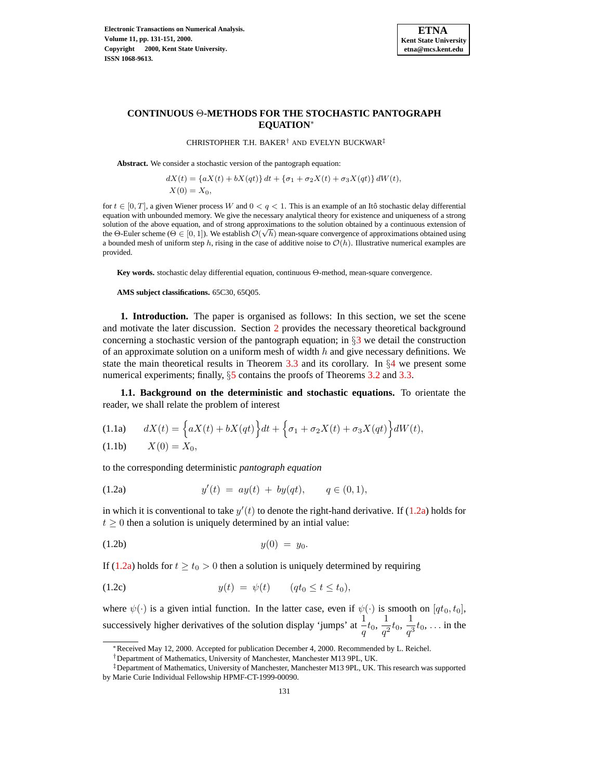

### **CONTINUOUS** Θ**-METHODS FOR THE STOCHASTIC PANTOGRAPH EQUATION**<sup>∗</sup>

CHRISTOPHER T.H. BAKER† AND EVELYN BUCKWAR‡

**Abstract.** We consider a stochastic version of the pantograph equation:

$$
dX(t) = \{aX(t) + bX(qt)\} dt + \{\sigma_1 + \sigma_2 X(t) + \sigma_3 X(qt)\} dW(t),
$$
  
 
$$
X(0) = X_0,
$$

for  $t \in [0, T]$ , a given Wiener process W and  $0 < q < 1$ . This is an example of an Itô stochastic delay differential equation with unbounded memory. We give the necessary analytical theory for existence and uniqueness of a strong solution of the above equation, and of strong approximations to the solution obtained by a continuous extension of the Θ-Euler scheme ( $\Theta \in [0, 1]$ ). We establish  $\mathcal{O}(\sqrt{h})$  mean-square convergence of approximations obtained using a bounded mesh of uniform step h, rising in the case of additive noise to  $\mathcal{O}(h)$ . Illustrative numerical examples are provided.

**Key words.** stochastic delay differential equation, continuous Θ-method, mean-square convergence.

**AMS subject classifications.** 65C30, 65Q05.

**1. Introduction.** The paper is organised as follows: In this section, we set the scene and motivate the later discussion. Section [2](#page-2-0) provides the necessary theoretical background concerning a stochastic version of the pantograph equation; in  $\S$ [3](#page-5-0) we detail the construction of an approximate solution on a uniform mesh of width  $h$  and give necessary definitions. We state the main theoretical results in Theorem [3.3](#page-7-0) and its corollary. In  $\S4$  $\S4$  we present some numerical experiments; finally,  $\S$  [5](#page-9-0) contains the proofs of Theorems [3.2](#page-7-1) and [3.3.](#page-7-0)

<span id="page-0-2"></span>**1.1. Background on the deterministic and stochastic equations.** To orientate the reader, we shall relate the problem of interest

<span id="page-0-1"></span>
$$
(1.1a) \qquad dX(t) = \left\{ aX(t) + bX(qt) \right\} dt + \left\{ \sigma_1 + \sigma_2 X(t) + \sigma_3 X(qt) \right\} dW(t),
$$

(1.1b)  $X(0) = X_0$ ,

<span id="page-0-4"></span>to the corresponding deterministic *pantograph equation*

<span id="page-0-0"></span>(1.2a) 
$$
y'(t) = ay(t) + by(qt), \qquad q \in (0,1),
$$

in which it is conventional to take  $y'(t)$  to denote the right-hand derivative. If [\(1.2a\)](#page-0-0) holds for  $t \geq 0$  then a solution is uniquely determined by an intial value:

$$
(1.2b) \t\t y(0) = y_0.
$$

If [\(1.2a\)](#page-0-0) holds for  $t \ge t_0 > 0$  then a solution is uniquely determined by requiring

<span id="page-0-3"></span>(1.2c) 
$$
y(t) = \psi(t) \quad (qt_0 \le t \le t_0),
$$

where  $\psi(\cdot)$  is a given intial function. In the latter case, even if  $\psi(\cdot)$  is smooth on  $[qt_0, t_0]$ , successively higher derivatives of the solution display 'jumps' at  $\frac{1}{1}$  $\frac{1}{q}t_0, \, \frac{1}{q^2}$  $\frac{1}{q^2} t_0, \frac{1}{q^3}$  $\frac{1}{q^3}t_0, \ldots$  in the

<sup>∗</sup>Received May 12, 2000. Accepted for publication December 4, 2000. Recommended by L. Reichel.

<sup>†</sup>Department of Mathematics, University of Manchester, Manchester M13 9PL, UK.

<sup>‡</sup>Department of Mathematics, University of Manchester, Manchester M13 9PL, UK. This research was supported by Marie Curie Individual Fellowship HPMF-CT-1999-00090.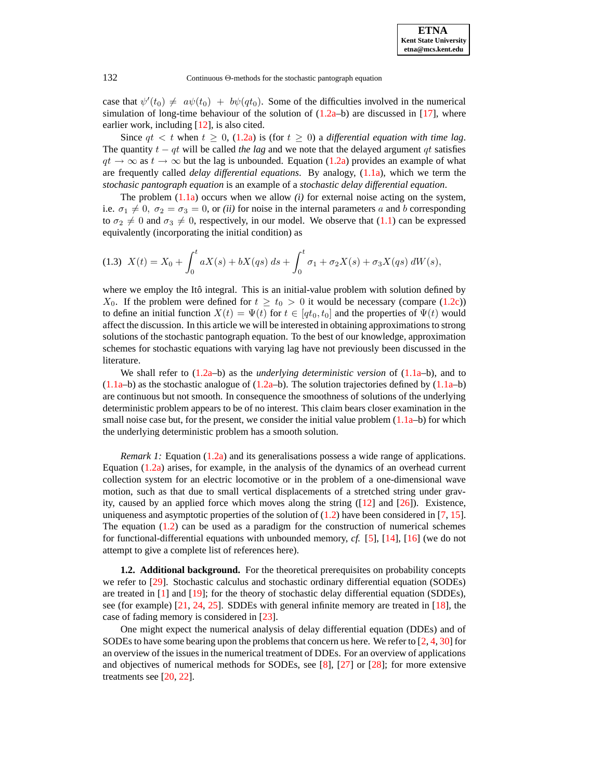case that  $\psi'(t_0) \neq a\psi(t_0) + b\psi(qt_0)$ . Some of the difficulties involved in the numerical simulation of long-time behaviour of the solution of  $(1.2a-b)$  are discussed in [\[17\]](#page-19-0), where earlier work, including  $[12]$ , is also cited.

Since  $qt < t$  when  $t \geq 0$ , [\(1.2a\)](#page-0-0) is (for  $t \geq 0$ ) a *differential equation with time lag.* The quantity  $t - qt$  will be called *the lag* and we note that the delayed argument  $qt$  satisfies  $qt \rightarrow \infty$  as  $t \rightarrow \infty$  but the lag is unbounded. Equation [\(1.2a\)](#page-0-0) provides an example of what are frequently called *delay differential equations*. By analogy, [\(1.1a\)](#page-0-1), which we term the *stochasic pantograph equation* is an example of a *stochastic delay differential equation*.

The problem [\(1.1a\)](#page-0-1) occurs when we allow *(i)* for external noise acting on the system, i.e.  $\sigma_1 \neq 0$ ,  $\sigma_2 = \sigma_3 = 0$ , or *(ii)* for noise in the internal parameters a and b corresponding to  $\sigma_2 \neq 0$  and  $\sigma_3 \neq 0$ , respectively, in our model. We observe that [\(1.1\)](#page-0-2) can be expressed equivalently (incorporating the initial condition) as

<span id="page-1-0"></span>
$$
(1.3)\ \ X(t) = X_0 + \int_0^t aX(s) + bX(qs)\ ds + \int_0^t \sigma_1 + \sigma_2 X(s) + \sigma_3 X(qs)\ dW(s),
$$

where we employ the Itô integral. This is an initial-value problem with solution defined by  $X_0$ . If the problem were defined for  $t \geq t_0 > 0$  it would be necessary (compare [\(1.2c\)](#page-0-3)) to define an initial function  $X(t) = \Psi(t)$  for  $t \in [qt_0, t_0]$  and the properties of  $\Psi(t)$  would affect the discussion. In this article we will be interested in obtaining approximationsto strong solutions of the stochastic pantograph equation. To the best of our knowledge, approximation schemes for stochastic equations with varying lag have not previously been discussed in the literature.

We shall refer to [\(1.2a–](#page-0-0)b) as the *underlying deterministic version* of [\(1.1a–](#page-0-1)b), and to  $(1.1a-b)$  as the stochastic analogue of  $(1.2a-b)$ . The solution trajectories defined by  $(1.1a-b)$ are continuous but not smooth. In consequence the smoothness of solutions of the underlying deterministic problem appears to be of no interest. This claim bears closer examination in the small noise case but, for the present, we consider the initial value problem  $(1.1a - b)$  for which the underlying deterministic problem has a smooth solution.

*Remark 1:* Equation [\(1.2a\)](#page-0-0) and its generalisations possess a wide range of applications. Equation [\(1.2a\)](#page-0-0) arises, for example, in the analysis of the dynamics of an overhead current collection system for an electric locomotive or in the problem of a one-dimensional wave motion, such as that due to small vertical displacements of a stretched string under gravity, caused by an applied force which moves along the string  $(12)$  and  $[26]$ ). Existence, uniqueness and asymptotic properties of the solution of  $(1.2)$  have been considered in [\[7,](#page-19-2) [15\]](#page-19-3). The equation  $(1.2)$  can be used as a paradigm for the construction of numerical schemes for functional-differential equations with unbounded memory, *cf.* [\[5\]](#page-19-4), [\[14\]](#page-19-5), [\[16\]](#page-19-6) (we do not attempt to give a complete list of references here).

**1.2. Additional background.** For the theoretical prerequisites on probability concepts we refer to [\[29\]](#page-20-1). Stochastic calculus and stochastic ordinary differential equation (SODEs) are treated in [\[1\]](#page-19-7) and [\[19\]](#page-19-8); for the theory of stochastic delay differential equation (SDDEs), see (for example) [\[21,](#page-20-2) [24,](#page-20-3) [25\]](#page-20-4). SDDEs with general infinite memory are treated in [\[18\]](#page-19-9), the case of fading memory is considered in [\[23\]](#page-20-5).

One might expect the numerical analysis of delay differential equation (DDEs) and of SODEs to have some bearing upon the problems that concern us here. We refer to  $[2, 4, 30]$  $[2, 4, 30]$  $[2, 4, 30]$  $[2, 4, 30]$  $[2, 4, 30]$  for an overview of the issues in the numerical treatment of DDEs. For an overview of applications and objectives of numerical methods for SODEs, see [\[8\]](#page-19-12), [\[27\]](#page-20-7) or [\[28\]](#page-20-8); for more extensive treatments see [\[20,](#page-20-9) [22\]](#page-20-10).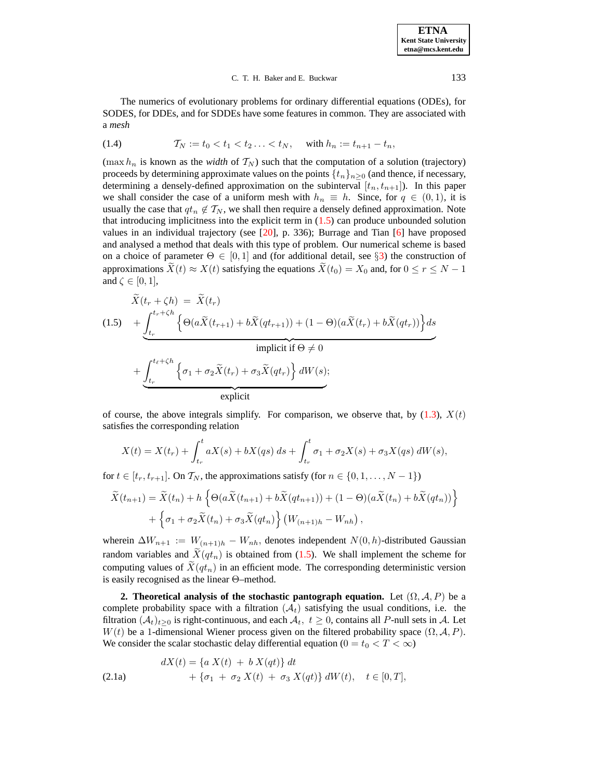#### C. T. H. Baker and E. Buckwar 133

The numerics of evolutionary problems for ordinary differential equations (ODEs), for SODES, for DDEs, and for SDDEs have some features in common. They are associated with a *mesh*

(1.4) 
$$
\mathcal{T}_N := t_0 < t_1 < t_2 \ldots < t_N, \quad \text{with } h_n := t_{n+1} - t_n,
$$

(max  $h_n$  is known as the *width* of  $T_N$ ) such that the computation of a solution (trajectory) proceeds by determining approximate values on the points  $\{t_n\}_{n\geq 0}$  (and thence, if necessary, determining a densely-defined approximation on the subinterval  $[t_n,t_{n+1}]$ ). In this paper we shall consider the case of a uniform mesh with  $h_n \equiv h$ . Since, for  $q \in (0,1)$ , it is usually the case that  $q_t \notin \mathcal{T}_N$ , we shall then require a densely defined approximation. Note that introducing implicitness into the explicit term in  $(1.5)$  can produce unbounded solution values in an individual trajectory (see  $[20]$ , p. 336); Burrage and Tian  $[6]$  have proposed and analysed a method that deals with this type of problem. Our numerical scheme is based on a choice of parameter  $\Theta \in [0,1]$  and (for additional detail, see §[3\)](#page-5-0) the construction of approximations  $\ddot{X}(t) \approx X(t)$  satisfying the equations  $\ddot{X}(t_0) = X_0$  and, for  $0 \le r \le N - 1$ and  $\zeta \in [0,1]$ ,

<span id="page-2-1"></span>
$$
\tilde{X}(t_r + \zeta h) = \tilde{X}(t_r)
$$
\n
$$
(1.5) \quad + \underbrace{\int_{t_r}^{t_r + \zeta h} \left\{ \Theta(a\tilde{X}(t_{r+1}) + b\tilde{X}(qt_{r+1})) + (1 - \Theta)(a\tilde{X}(t_r) + b\tilde{X}(qt_r)) \right\} ds}_{\text{implicit if } \Theta \neq 0}
$$
\n
$$
+ \underbrace{\int_{t_r}^{t_\ell + \zeta h} \left\{ \sigma_1 + \sigma_2 \tilde{X}(t_r) + \sigma_3 \tilde{X}(qt_r) \right\} dW(s)}_{\text{explicit}}.
$$

of course, the above integrals simplify. For comparison, we observe that, by  $(1.3)$ ,  $X(t)$ satisfies the corresponding relation

$$
X(t) = X(t_r) + \int_{t_r}^t aX(s) + bX(qs) ds + \int_{t_r}^t \sigma_1 + \sigma_2 X(s) + \sigma_3 X(qs) dW(s),
$$

for  $t \in [t_r, t_{r+1}]$ . On  $\mathcal{T}_N$ , the approximations satisfy (for  $n \in \{0, 1, \ldots, N-1\}$ )

$$
\widetilde{X}(t_{n+1}) = \widetilde{X}(t_n) + h \left\{ \Theta(a\widetilde{X}(t_{n+1}) + b\widetilde{X}(qt_{n+1})) + (1 - \Theta)(a\widetilde{X}(t_n) + b\widetilde{X}(qt_n)) \right\} \n+ \left\{ \sigma_1 + \sigma_2 \widetilde{X}(t_n) + \sigma_3 \widetilde{X}(qt_n) \right\} \left( W_{(n+1)h} - W_{nh} \right),
$$

wherein  $\Delta W_{n+1} := W_{(n+1)h} - W_{nh}$ , denotes independent  $N(0, h)$ -distributed Gaussian random variables and  $\widetilde{X}(qt_n)$  is obtained from [\(1.5\)](#page-2-1). We shall implement the scheme for computing values of  $\hat{X}(qt_n)$  in an efficient mode. The corresponding deterministic version is easily recognised as the linear Θ–method.

<span id="page-2-0"></span>**2. Theoretical analysis of the stochastic pantograph equation.** Let  $(\Omega, \mathcal{A}, P)$  be a complete probability space with a filtration  $(\mathcal{A}_t)$  satisfying the usual conditions, i.e. the filtration  $(\mathcal{A}_t)_{t>0}$  is right-continuous, and each  $\mathcal{A}_t$ ,  $t \geq 0$ , contains all P-null sets in A. Let  $W(t)$  be a 1-dimensional Wiener process given on the filtered probability space  $(\Omega, \mathcal{A}, P)$ . We consider the scalar stochastic delay differential equation ( $0 = t_0 < T < \infty$ )

<span id="page-2-3"></span><span id="page-2-2"></span>(2.1a) 
$$
dX(t) = \{a X(t) + b X(qt)\} dt + \{\sigma_1 + \sigma_2 X(t) + \sigma_3 X(qt)\} dW(t), \quad t \in [0, T],
$$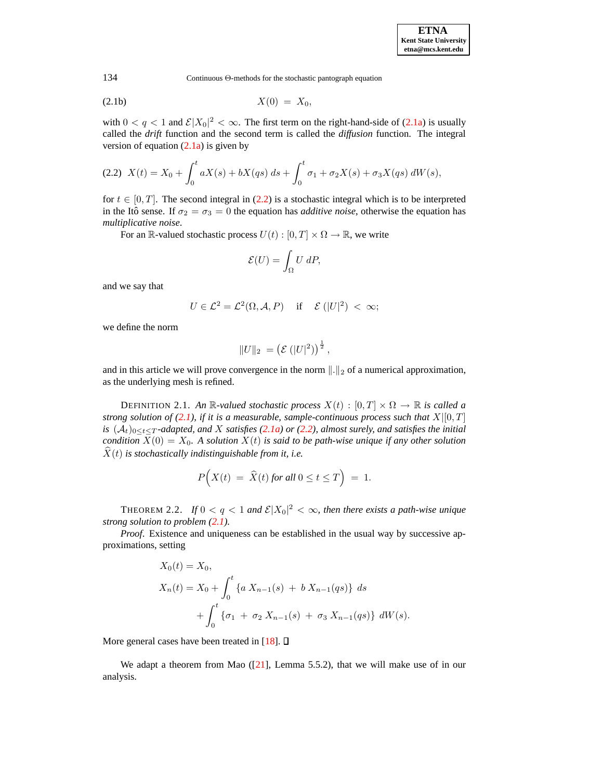$$
X(0) = X_0,
$$

with  $0 < q < 1$  and  $\mathcal{E}|X_0|^2 < \infty$ . The first term on the right-hand-side of [\(2.1a\)](#page-2-2) is usually called the *drift* function and the second term is called the *diffusion* function. The integral version of equation  $(2.1a)$  is given by

<span id="page-3-0"></span>
$$
(2.2)\ \ X(t) = X_0 + \int_0^t aX(s) + bX(qs)\ ds + \int_0^t \sigma_1 + \sigma_2 X(s) + \sigma_3 X(qs)\ dW(s),
$$

for  $t \in [0, T]$ . The second integral in [\(2.2\)](#page-3-0) is a stochastic integral which is to be interpreted in the Itô sense. If  $\sigma_2 = \sigma_3 = 0$  the equation has *additive noise*, otherwise the equation has *multiplicative noise*.

For an R-valued stochastic process  $U(t) : [0, T] \times \Omega \rightarrow \mathbb{R}$ , we write

$$
\mathcal{E}(U) = \int_{\Omega} U \, dP,
$$

and we say that

$$
U \in \mathcal{L}^2 = \mathcal{L}^2(\Omega, \mathcal{A}, P) \quad \text{if} \quad \mathcal{E}(|U|^2) < \infty;
$$

we define the norm

$$
||U||_2 = (\mathcal{E}(|U|^2))^{\frac{1}{2}},
$$

and in this article we will prove convergence in the norm  $\|.\|_2$  of a numerical approximation, as the underlying mesh is refined.

DEFINITION 2.1. An R-valued stochastic process  $X(t) : [0, T] \times \Omega \rightarrow \mathbb{R}$  is called a *strong solution of* [\(2.1\)](#page-2-3), *if it is a measurable, sample-continuous process such that*  $X|[0,T]$  $i$ s  $(A_t)_{0 \le t \le T}$ -adapted, and X satisfies [\(2.1a\)](#page-2-2) or [\(2.2\)](#page-3-0), almost surely, and satisfies the initial *condition*  $X(0) = X_0$ . A *solution*  $X(t)$  *is said to be path-wise unique if any other solution*  $\hat{X}(t)$  *is stochastically indistinguishable from it, i.e.* 

$$
P\Big(X(t) = \widehat{X}(t) \text{ for all } 0 \le t \le T\Big) = 1.
$$

THEOREM 2.2. *If*  $0 < q < 1$  and  $\mathcal{E}|X_0|^2 < \infty$ , then there exists a path-wise unique *strong solution to problem [\(2.1\)](#page-2-3).*

*Proof*. Existence and uniqueness can be established in the usual way by successive approximations, setting

$$
X_0(t) = X_0,
$$
  
\n
$$
X_n(t) = X_0 + \int_0^t \{a X_{n-1}(s) + b X_{n-1}(qs)\} ds
$$
  
\n
$$
+ \int_0^t \{\sigma_1 + \sigma_2 X_{n-1}(s) + \sigma_3 X_{n-1}(qs)\} dW(s).
$$

More general cases have been treated in [\[18\]](#page-19-9).  $\square$ 

We adapt a theorem from Mao  $([21]$  $([21]$ , Lemma 5.5.2), that we will make use of in our analysis.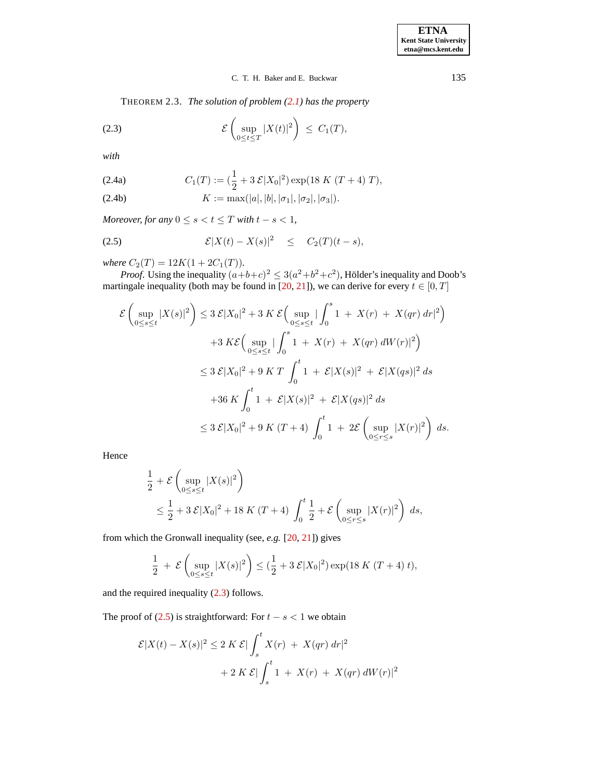<span id="page-4-0"></span>THEOREM 2.3. *The solution of problem [\(2.1\)](#page-2-3) has the property*

(2.3) 
$$
\mathcal{E}\left(\sup_{0\leq t\leq T}|X(t)|^2\right)\leq C_1(T),
$$

<span id="page-4-2"></span>*with*

(2.4a) 
$$
C_1(T) := (\frac{1}{2} + 3 \mathcal{E}|X_0|^2) \exp(18 K (T + 4) T),
$$

(2.4b) 
$$
K := \max(|a|, |b|, |\sigma_1|, |\sigma_2|, |\sigma_3|).
$$

*Moreover, for any*  $0 \le s < t \le T$  *with*  $t - s < 1$ *,* 

<span id="page-4-1"></span>
$$
(2.5) \t\t\t\mathcal{E}|X(t) - X(s)|^2 \leq C_2(T)(t-s),
$$

*where*  $C_2(T) = 12K(1 + 2C_1(T))$ *.* 

*Proof.* Using the inequality  $(a+b+c)^2 \leq 3(a^2+b^2+c^2)$ , Hölder's inequality and Doob's martingale inequality (both may be found in [\[20,](#page-20-9) [21\]](#page-20-2)), we can derive for every  $t \in [0, T]$ 

$$
\mathcal{E}\left(\sup_{0\leq s\leq t}|X(s)|^{2}\right) \leq 3 \mathcal{E}|X_{0}|^{2} + 3 K \mathcal{E}\left(\sup_{0\leq s\leq t}|\int_{0}^{s}1 + X(r) + X(qr) dr|^{2}\right) \n+3 K\mathcal{E}\left(\sup_{0\leq s\leq t}|\int_{0}^{s}1 + X(r) + X(qr) dW(r)|^{2}\right) \n\leq 3 \mathcal{E}|X_{0}|^{2} + 9 K T \int_{0}^{t}1 + \mathcal{E}|X(s)|^{2} + \mathcal{E}|X(qs)|^{2} ds \n+36 K \int_{0}^{t}1 + \mathcal{E}|X(s)|^{2} + \mathcal{E}|X(qs)|^{2} ds \n\leq 3 \mathcal{E}|X_{0}|^{2} + 9 K (T + 4) \int_{0}^{t}1 + 2\mathcal{E}\left(\sup_{0\leq r\leq s}|X(r)|^{2}\right) ds.
$$

Hence

$$
\frac{1}{2} + \mathcal{E} \left( \sup_{0 \le s \le t} |X(s)|^2 \right)
$$
\n
$$
\le \frac{1}{2} + 3 \mathcal{E} |X_0|^2 + 18 K (T + 4) \int_0^t \frac{1}{2} + \mathcal{E} \left( \sup_{0 \le r \le s} |X(r)|^2 \right) ds,
$$

from which the Gronwall inequality (see, *e.g.* [\[20,](#page-20-9) [21\]](#page-20-2)) gives

$$
\frac{1}{2} + \mathcal{E}\left(\sup_{0 \le s \le t} |X(s)|^2\right) \le \left(\frac{1}{2} + 3\mathcal{E}|X_0|^2\right) \exp(18\ K\ (T+4)\ t),
$$

and the required inequality [\(2.3\)](#page-4-0) follows.

The proof of  $(2.5)$  is straightforward: For  $t - s < 1$  we obtain

$$
\mathcal{E}|X(t) - X(s)|^2 \le 2 K \mathcal{E}|\int_s^t X(r) + X(qr) dr|^2
$$
  
+ 2 K \mathcal{E}|\int\_s^t 1 + X(r) + X(qr) dW(r)|^2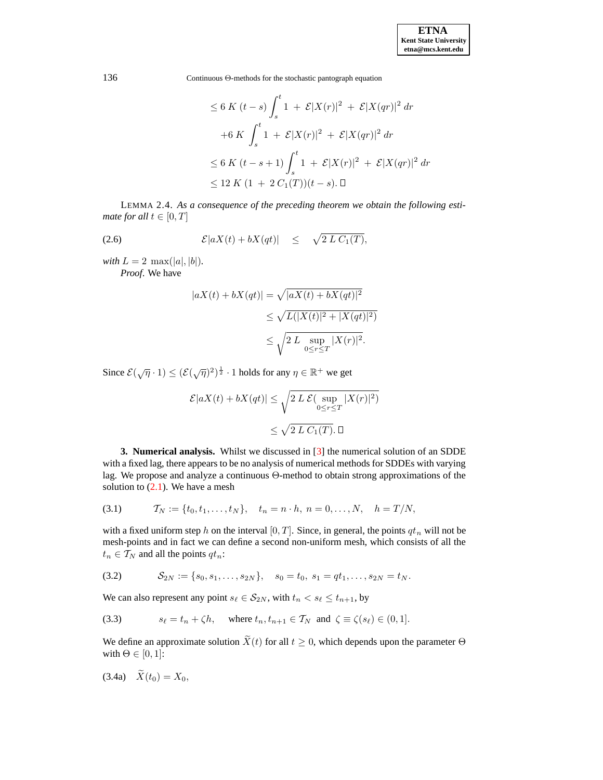$$
\leq 6 K (t - s) \int_{s}^{t} 1 + \mathcal{E}|X(r)|^{2} + \mathcal{E}|X(qr)|^{2} dr
$$
  
+6 K  $\int_{s}^{t} 1 + \mathcal{E}|X(r)|^{2} + \mathcal{E}|X(qr)|^{2} dr$   
 $\leq 6 K (t - s + 1) \int_{s}^{t} 1 + \mathcal{E}|X(r)|^{2} + \mathcal{E}|X(qr)|^{2} dr$   
 $\leq 12 K (1 + 2 C_{1}(T))(t - s). \Box$ 

<span id="page-5-3"></span>LEMMA 2.4. *As a consequence of the preceding theorem we obtain the following estimate for all*  $t \in [0, T]$ 

(2.6) 
$$
\mathcal{E}|aX(t) + bX(qt)| \leq \sqrt{2 L C_1(T)},
$$

*with*  $L = 2 \max(|a|, |b|)$ *. Proof*. We have

$$
|aX(t) + bX(qt)| = \sqrt{|aX(t) + bX(qt)|^2}
$$
  
\n
$$
\leq \sqrt{L(|X(t)|^2 + |X(qt)|^2)}
$$
  
\n
$$
\leq \sqrt{2 L \sup_{0 \leq r \leq T} |X(r)|^2}.
$$

Since  $\mathcal{E}(\sqrt{\eta} \cdot 1) \leq (\mathcal{E}(\sqrt{\eta})^2)^{\frac{1}{2}} \cdot 1$  holds for any  $\eta \in \mathbb{R}^+$  we get

$$
\mathcal{E}|aX(t) + bX(qt)| \leq \sqrt{2 L \mathcal{E}(\sup_{0 \leq r \leq T} |X(r)|^2)}
$$
  

$$
\leq \sqrt{2 L C_1(T)}.\ \Box
$$

<span id="page-5-0"></span>**3. Numerical analysis.** Whilst we discussed in [\[3\]](#page-19-14) the numerical solution of an SDDE with a fixed lag, there appears to be no analysis of numerical methods for SDDEs with varying lag. We propose and analyze a continuous Θ-method to obtain strong approximations of the solution to  $(2.1)$ . We have a mesh

(3.1) 
$$
\mathcal{T}_N := \{t_0, t_1, \ldots, t_N\}, \quad t_n = n \cdot h, \ n = 0, \ldots, N, \quad h = T/N,
$$

with a fixed uniform step h on the interval  $[0, T]$ . Since, in general, the points  $qt_n$  will not be mesh-points and in fact we can define a second non-uniform mesh, which consists of all the  $t_n \in \mathcal{T}_N$  and all the points  $qt_n$ :

$$
(3.2) \t S_{2N} := \{s_0, s_1, \ldots, s_{2N}\}, \t s_0 = t_0, s_1 = qt_1, \ldots, s_{2N} = t_N.
$$

We can also represent any point  $s_\ell \in S_{2N}$ , with  $t_n < s_\ell \leq t_{n+1}$ , by

<span id="page-5-4"></span>(3.3) 
$$
s_{\ell} = t_n + \zeta h, \quad \text{where } t_n, t_{n+1} \in \mathcal{T}_N \text{ and } \zeta \equiv \zeta(s_{\ell}) \in (0, 1].
$$

<span id="page-5-2"></span>We define an approximate solution  $\widetilde{X}(t)$  for all  $t \geq 0$ , which depends upon the parameter  $\Theta$ with  $\Theta \in [0, 1]$ :

<span id="page-5-1"></span>(3.4a)  $\widetilde{X}(t_0) = X_0$ ,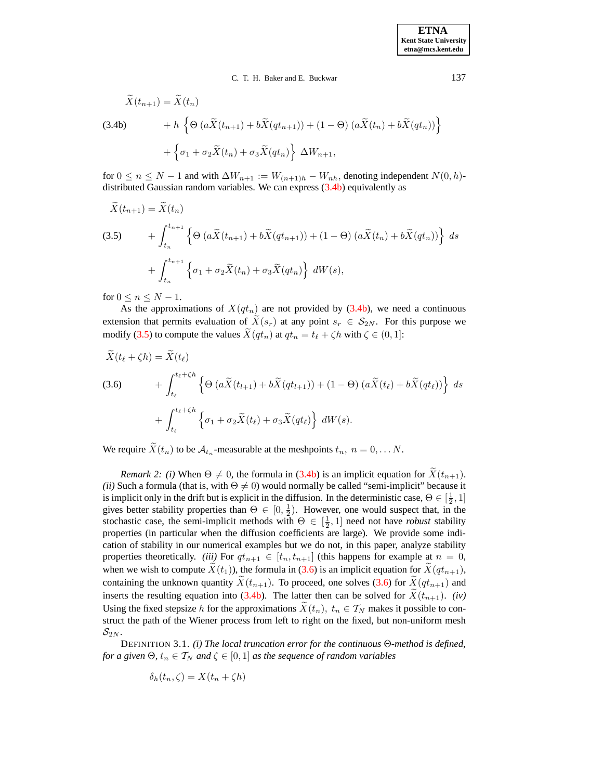C. T. H. Baker and E. Buckwar 137

$$
\tilde{X}(t_{n+1}) = \tilde{X}(t_n)
$$
\n
$$
(3.4b) + h \left\{ \Theta \left( a\tilde{X}(t_{n+1}) + b\tilde{X}(qt_{n+1}) \right) + (1 - \Theta) \left( a\tilde{X}(t_n) + b\tilde{X}(qt_n) \right) \right\}
$$
\n
$$
+ \left\{ \sigma_1 + \sigma_2 \tilde{X}(t_n) + \sigma_3 \tilde{X}(qt_n) \right\} \Delta W_{n+1},
$$

for  $0 \le n \le N - 1$  and with  $\Delta W_{n+1} := W_{(n+1)h} - W_{nh}$ , denoting independent  $N(0, h)$ distributed Gaussian random variables. We can express [\(3.4b\)](#page-5-1) equivalently as

<span id="page-6-0"></span>
$$
\tilde{X}(t_{n+1}) = \tilde{X}(t_n)
$$
\n
$$
(3.5) \qquad + \int_{t_n}^{t_{n+1}} \left\{ \Theta \left( a\tilde{X}(t_{n+1}) + b\tilde{X}(qt_{n+1}) \right) + (1 - \Theta) \left( a\tilde{X}(t_n) + b\tilde{X}(qt_n) \right) \right\} ds
$$
\n
$$
+ \int_{t_n}^{t_{n+1}} \left\{ \sigma_1 + \sigma_2 \tilde{X}(t_n) + \sigma_3 \tilde{X}(qt_n) \right\} dW(s),
$$

for  $0 \leq n \leq N-1$ .

As the approximations of  $X(qt_n)$  are not provided by [\(3.4b\)](#page-5-1), we need a continuous extension that permits evaluation of  $\tilde{X}(s_r)$  at any point  $s_r \in S_{2N}$ . For this purpose we modify [\(3.5\)](#page-6-0) to compute the values  $X(qt_n)$  at  $qt_n = t_\ell + \zeta h$  with  $\zeta \in (0, 1]$ :

<span id="page-6-1"></span>
$$
X(t_{\ell} + \zeta h) = X(t_{\ell})
$$
  
(3.6) 
$$
+ \int_{t_{\ell}}^{t_{\ell} + \zeta h} \left\{ \Theta \left( a \widetilde{X}(t_{l+1}) + b \widetilde{X}(qt_{l+1}) \right) + (1 - \Theta) \left( a \widetilde{X}(t_{\ell}) + b \widetilde{X}(qt_{\ell}) \right) \right\} ds
$$

$$
+ \int_{t_{\ell}}^{t_{\ell} + \zeta h} \left\{ \sigma_1 + \sigma_2 \widetilde{X}(t_{\ell}) + \sigma_3 \widetilde{X}(qt_{\ell}) \right\} dW(s).
$$

We require  $X(t_n)$  to be  $\mathcal{A}_{t_n}$ -measurable at the meshpoints  $t_n$ ,  $n = 0, \ldots N$ .

*Remark* 2: *(i)* When  $\Theta \neq 0$ , the formula in [\(3.4b\)](#page-5-1) is an implicit equation for  $\tilde{X}(t_{n+1})$ . *(ii)* Such a formula (that is, with  $\Theta \neq 0$ ) would normally be called "semi-implicit" because it is implicit only in the drift but is explicit in the diffusion. In the deterministic case,  $\Theta \in [\frac{1}{2}, 1]$ gives better stability properties than  $\Theta \in [0, \frac{1}{2})$ . However, one would suspect that, in the stochastic case, the semi-implicit methods with  $\Theta \in [\frac{1}{2}, 1]$  need not have *robust* stability properties (in particular when the diffusion coefficients are large). We provide some indication of stability in our numerical examples but we do not, in this paper, analyze stability properties theoretically. *(iii)* For  $qt_{n+1} \in [t_n, t_{n+1}]$  (this happens for example at  $n = 0$ , when we wish to compute  $X(t_1)$ ), the formula in [\(3.6\)](#page-6-1) is an implicit equation for  $X(qt_{n+1})$ , containing the unknown quantity  $\tilde{X}(t_{n+1})$ . To proceed, one solves [\(3.6\)](#page-6-1) for  $\tilde{X}(qt_{n+1})$  and inserts the resulting equation into [\(3.4b\)](#page-5-1). The latter then can be solved for  $\tilde{X}(t_{n+1})$ . *(iv)* Using the fixed stepsize h for the approximations  $\tilde{X}(t_n)$ ,  $t_n \in \mathcal{T}_N$  makes it possible to construct the path of the Wiener process from left to right on the fixed, but non-uniform mesh  $\mathcal{S}_{2N}$ .

DEFINITION 3.1. *(i) The local truncation error for the continuous* Θ*-method is defined, for a given*  $\Theta$ *,*  $t_n \in T_N$  *and*  $\zeta \in [0,1]$  *as the sequence of random variables* 

$$
\delta_h(t_n,\zeta) = X(t_n + \zeta h)
$$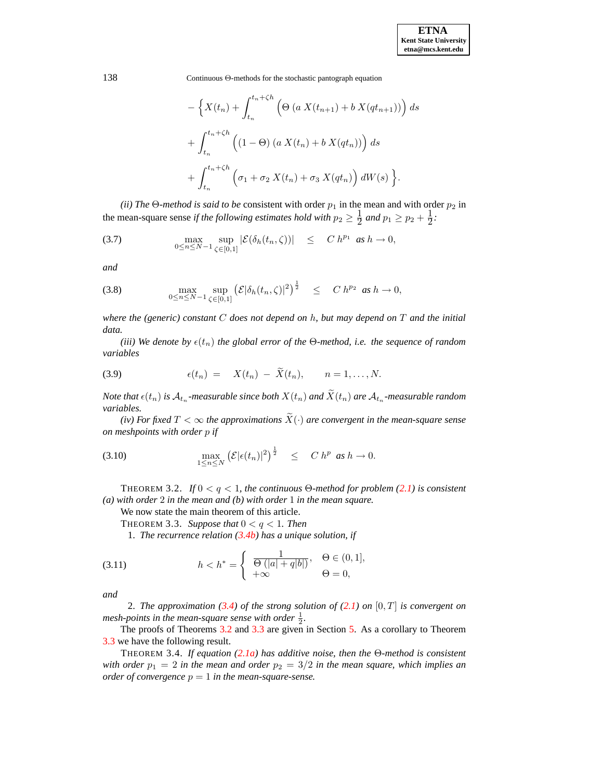$$
- \left\{ X(t_n) + \int_{t_n}^{t_n + \zeta h} \left( \Theta \left( a X(t_{n+1}) + b X(qt_{n+1}) \right) \right) ds \right\}
$$

$$
+ \int_{t_n}^{t_n + \zeta h} \left( (1 - \Theta) \left( a X(t_n) + b X(qt_n) \right) \right) ds
$$

$$
+ \int_{t_n}^{t_n + \zeta h} \left( \sigma_1 + \sigma_2 X(t_n) + \sigma_3 X(qt_n) \right) dW(s) \right\}.
$$

*(ii) The* Θ*-method is said to be consistent with order*  $p_1$  *in the mean and with order*  $p_2$  *in* the mean-square sense *if the following estimates hold with*  $p_2 \geq \frac{1}{2}$  $\frac{1}{2}$  and  $p_1 \geq p_2 + \frac{1}{2}$  $\frac{1}{2}$ .

(3.7) 
$$
\max_{0 \leq n \leq N-1} \sup_{\zeta \in [0,1]} |\mathcal{E}(\delta_h(t_n,\zeta))| \leq C h^{p_1} \text{ as } h \to 0,
$$

*and*

(3.8) 
$$
\max_{0 \le n \le N-1} \sup_{\zeta \in [0,1]} (\mathcal{E}|\delta_h(t_n,\zeta)|^2)^{\frac{1}{2}} \le C h^{p_2} \text{ as } h \to 0,
$$

*where the (generic) constant* C *does not depend on* h*, but may depend on* T *and the initial data.*

*(iii) We denote by*  $\epsilon(t_n)$  *the global error of the*  $\Theta$ *-method, i.e. the sequence of random variables*

(3.9) 
$$
\epsilon(t_n) = X(t_n) - \widetilde{X}(t_n), \qquad n = 1, \ldots, N.
$$

*Note* that  $\epsilon(t_n)$  is  $\mathcal{A}_{t_n}$ -measurable since both  $X(t_n)$  and  $X(t_n)$  are  $\mathcal{A}_{t_n}$ -measurable random *variables.*

*(iv)* For fixed  $T < \infty$  the approximations  $\widetilde{X}(\cdot)$  are convergent in the mean-square sense *on meshpoints with order* p *if*

<span id="page-7-2"></span>(3.10) 
$$
\max_{1 \leq n \leq N} \left( \mathcal{E} | \epsilon(t_n) |^2 \right)^{\frac{1}{2}} \leq C h^p \text{ as } h \to 0.
$$

<span id="page-7-1"></span>THEOREM 3.2. *If*  $0 < q < 1$ *, the continuous*  $\Theta$ *-method for problem [\(2.1\)](#page-2-3) is consistent (a) with order* 2 *in the mean and (b) with order* 1 *in the mean square.*

We now state the main theorem of this article.

THEOREM 3.3. Suppose that  $0 < q < 1$ . Then

<span id="page-7-0"></span>1. *The recurrence relation [\(3.4b\)](#page-5-1) has a unique solution, if*

(3.11) 
$$
h < h^* = \begin{cases} \frac{1}{\Theta(|a|+q|b|)}, & \Theta \in (0,1], \\ +\infty & \Theta = 0, \end{cases}
$$

*and*

2. *The approximation [\(3.4\)](#page-5-2) of the strong solution of [\(2.1\)](#page-2-3) on* [0, T] *is convergent on mesh-points in the mean-square sense with order*  $\frac{1}{2}$ *.* 

The proofs of Theorems [3.2](#page-7-1) and [3.3](#page-7-0) are given in Section [5.](#page-9-0) As a corollary to Theorem [3.3](#page-7-0) we have the following result.

<span id="page-7-3"></span>THEOREM 3.4. *If equation [\(2.1a\)](#page-2-2) has additive noise, then the* Θ*-method is consistent with order*  $p_1 = 2$  *in the mean and order*  $p_2 = 3/2$  *in the mean square, which implies an order of convergence*  $p = 1$  *in the mean-square-sense.*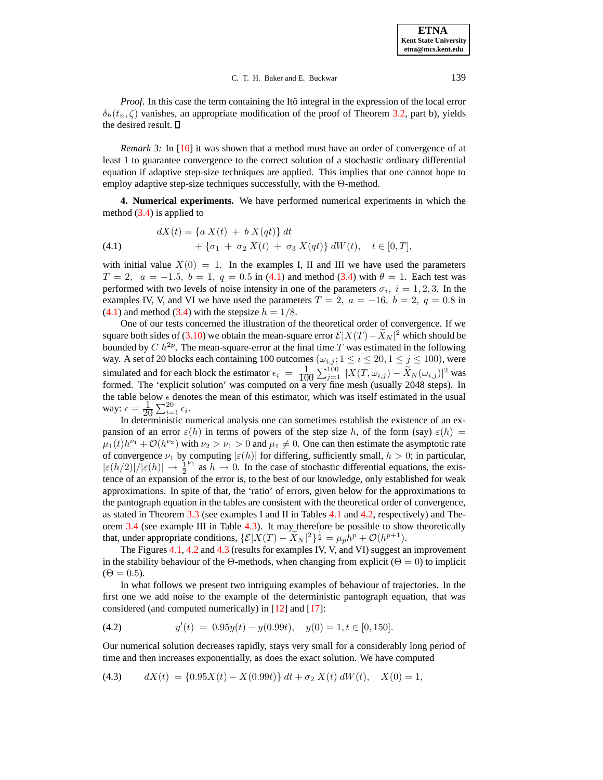*Proof.* In this case the term containing the Itô integral in the expression of the local error  $\delta_h(t_n, \zeta)$  vanishes, an appropriate modification of the proof of Theorem [3.2,](#page-7-1) part b), yields the desired result.  $\square$ 

*Remark* 3: In [\[10\]](#page-19-15) it was shown that a method must have an order of convergence of at least 1 to guarantee convergence to the correct solution of a stochastic ordinary differential equation if adaptive step-size techniques are applied. This implies that one cannot hope to employ adaptive step-size techniques successfully, with the Θ-method.

<span id="page-8-0"></span>**4. Numerical experiments.** We have performed numerical experiments in which the method  $(3.4)$  is applied to

<span id="page-8-1"></span>(4.1) 
$$
dX(t) = \{a X(t) + b X(qt)\} dt + \{\sigma_1 + \sigma_2 X(t) + \sigma_3 X(qt)\} dW(t), \quad t \in [0, T],
$$

with initial value  $X(0) = 1$ . In the examples I, II and III we have used the parameters  $T = 2$ ,  $a = -1.5$ ,  $b = 1$ ,  $q = 0.5$  in [\(4.1\)](#page-8-1) and method [\(3.4\)](#page-5-2) with  $\theta = 1$ . Each test was performed with two levels of noise intensity in one of the parameters  $\sigma_i$ ,  $i = 1, 2, 3$ . In the examples IV, V, and VI we have used the parameters  $T = 2$ ,  $a = -16$ ,  $b = 2$ ,  $q = 0.8$  in  $(4.1)$  and method  $(3.4)$  with the stepsize  $h = 1/8$ .

One of our tests concerned the illustration of the theoretical order of convergence. If we square both sides of [\(3.10\)](#page-7-2) we obtain the mean-square error  $\mathcal{E}|X(T) - \tilde{X}_N|^2$  which should be bounded by  $C h^{2p}$ . The mean-square-error at the final time T was estimated in the following way. A set of 20 blocks each containing 100 outcomes  $(\omega_{i,j}; 1 \le i \le 20, 1 \le j \le 100)$ , were simulated and for each block the estimator  $\epsilon_i = \frac{1}{10}$  $\frac{1}{100} \sum_{j=1}^{100} |X(T, \omega_{i,j}) - \widetilde{X}_N(\omega_{i,j})|^2$  was formed. The 'explicit solution' was computed on a very fine mesh (usually 2048 steps). In the table below  $\epsilon$  denotes the mean of this estimator, which was itself estimated in the usual way:  $\epsilon = \frac{1}{20}$  $\frac{1}{20} \sum_{i=1}^{20} \epsilon_i.$ 

In deterministic numerical analysis one can sometimes establish the existence of an expansion of an error  $\varepsilon(h)$  in terms of powers of the step size h, of the form (say)  $\varepsilon(h)$  =  $\mu_1(t)h^{\nu_1} + \mathcal{O}(h^{\nu_2})$  with  $\nu_2 > \nu_1 > 0$  and  $\mu_1 \neq 0$ . One can then estimate the asymptotic rate of convergence  $\nu_1$  by computing  $|\varepsilon(h)|$  for differing, sufficiently small,  $h > 0$ ; in particular,  $|\varepsilon(h/2)|/|\varepsilon(h)| \to \frac{1}{2}$  $v_1$  as  $h \to 0$ . In the case of stochastic differential equations, the existence of an expansion of the error is, to the best of our knowledge, only established for weak approximations. In spite of that, the 'ratio' of errors, given below for the approximations to the pantograph equation in the tables are consistent with the theoretical order of convergence, as stated in Theorem [3.3](#page-7-0) (see examples I and II in Tables [4.1](#page-9-1) and [4.2,](#page-9-2) respectively) and Theorem [3.4](#page-7-3) (see example III in Table [4.3\)](#page-9-3). It may therefore be possible to show theoretically that, under appropriate conditions,  $\{\mathcal{E}|X(T) - \widetilde{X}_N|^2\}^{\frac{1}{2}} = \mu_p \widetilde{h}^p + \mathcal{O}(h^{p+1}).$ 

The Figures [4.1,](#page-10-0) [4.2](#page-10-1) and [4.3](#page-10-2) (results for examples IV, V, and VI) suggest an improvement in the stability behaviour of the Θ-methods, when changing from explicit ( $\Theta = 0$ ) to implicit  $(\Theta = 0.5)$ .

In what follows we present two intriguing examples of behaviour of trajectories. In the first one we add noise to the example of the deterministic pantograph equation, that was considered (and computed numerically) in [\[12\]](#page-19-1) and [\[17\]](#page-19-0):

(4.2) 
$$
y'(t) = 0.95y(t) - y(0.99t), \quad y(0) = 1, t \in [0, 150].
$$

Our numerical solution decreases rapidly, stays very small for a considerably long period of time and then increases exponentially, as does the exact solution. We have computed

<span id="page-8-2"></span>(4.3) 
$$
dX(t) = \{0.95X(t) - X(0.99t)\} dt + \sigma_2 X(t) dW(t), \quad X(0) = 1,
$$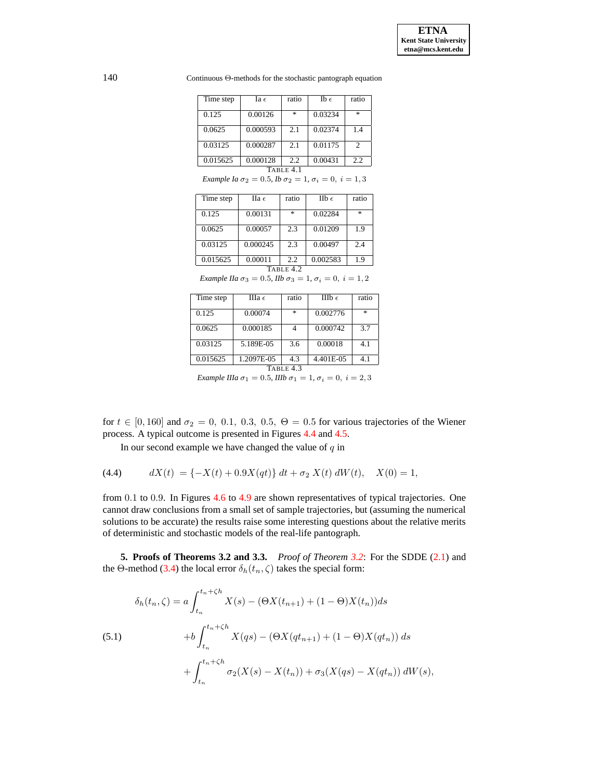140 Continuous Θ-methods for the stochastic pantograph equation

| Time step | Ia $\epsilon$ | ratio | Ib $\epsilon$ | ratio |  |  |  |
|-----------|---------------|-------|---------------|-------|--|--|--|
| 0.125     | 0.00126       | *     | 0.03234       | $*$   |  |  |  |
| 0.0625    | 0.000593      | 2.1   | 0.02374       | 1.4   |  |  |  |
| 0.03125   | 0.000287      | 2.1   | 0.01175       | 2     |  |  |  |
| 0.015625  | 0.000128      | 2.2   | 0.00431       | 2.2   |  |  |  |
| TABLE 4.1 |               |       |               |       |  |  |  |

*Example Ia*  $\sigma_2 = 0.5$ *, Ib*  $\sigma_2 = 1$ *,*  $\sigma_i = 0$ *,*  $i = 1, 3$ 

<span id="page-9-1"></span>

| Time step   | $\Pi$ a $\epsilon$ | ratio         | IIb $\epsilon$ | ratio |  |  |  |
|-------------|--------------------|---------------|----------------|-------|--|--|--|
| 0.125       | 0.00131            | $\frac{1}{2}$ | 0.02284        | 索     |  |  |  |
| 0.0625      | 0.00057            | 2.3           | 0.01209        | 19    |  |  |  |
| 0.03125     | 0.000245           | 2.3           | 0.00497        | 2.4   |  |  |  |
| 0.015625    | 0.00011            | 2.2           | 0.002583       | 1.9   |  |  |  |
| TABLE $4.2$ |                    |               |                |       |  |  |  |

*Example IIa*  $\sigma_3 = 0.5$ *, IIb*  $\sigma_3 = 1$ *,*  $\sigma_i = 0$ *,*  $i = 1, 2$ 

<span id="page-9-2"></span>

| Time step                                                                                                                                                                                                                                                                                           | IIIa $\epsilon$ | ratio | IIIb $\epsilon$ | ratio         |  |  |  |
|-----------------------------------------------------------------------------------------------------------------------------------------------------------------------------------------------------------------------------------------------------------------------------------------------------|-----------------|-------|-----------------|---------------|--|--|--|
| 0.125                                                                                                                                                                                                                                                                                               | 0.00074         | *     | 0.002776        | $\frac{1}{2}$ |  |  |  |
| 0.0625                                                                                                                                                                                                                                                                                              | 0.000185        |       | 0.000742        | 37            |  |  |  |
| 0.03125                                                                                                                                                                                                                                                                                             | 5.189E-05       | 3.6   | 0.00018         | 4.1           |  |  |  |
| 0.015625                                                                                                                                                                                                                                                                                            | 1.2097E-05      | 4.3   | 4.401E-05       | 4.1           |  |  |  |
| TABLE 4.3                                                                                                                                                                                                                                                                                           |                 |       |                 |               |  |  |  |
| $\sim$ 0 $\sim$ 0 $\sim$ 0 $\sim$ 0 $\sim$ 0 $\sim$ 0 $\sim$ 0 $\sim$ 0 $\sim$ 0 $\sim$ 0 $\sim$ 0 $\sim$ 0 $\sim$ 0 $\sim$ 0 $\sim$ 0 $\sim$ 0 $\sim$ 0 $\sim$ 0 $\sim$ 0 $\sim$ 0 $\sim$ 0 $\sim$ 0 $\sim$ 0 $\sim$ 0 $\sim$ 0 $\sim$ 0 $\sim$ 0 $\sim$ 0 $\sim$ 0 $\sim$ 0 $\sim$ 0 $\sim$<br>ററ |                 |       |                 |               |  |  |  |

*Example IIIa*  $\sigma_1 = 0.5$ *, IIIb*  $\sigma_1 = 1$ *,*  $\sigma_i = 0$ *,*  $i = 2, 3$ 

<span id="page-9-3"></span>for  $t \in [0, 160]$  and  $\sigma_2 = 0, 0.1, 0.3, 0.5, \Theta = 0.5$  for various trajectories of the Wiener process. A typical outcome is presented in Figures [4.4](#page-11-0) and [4.5.](#page-11-1)

In our second example we have changed the value of  $q$  in

<span id="page-9-4"></span>(4.4) 
$$
dX(t) = \{-X(t) + 0.9X(qt)\} dt + \sigma_2 X(t) dW(t), \quad X(0) = 1,
$$

from 0.1 to 0.9. In Figures [4.6](#page-12-0) to [4.9](#page-12-1) are shown representatives of typical trajectories. One cannot draw conclusions from a small set of sample trajectories, but (assuming the numerical solutions to be accurate) the results raise some interesting questions about the relative merits of deterministic and stochastic models of the real-life pantograph.

<span id="page-9-0"></span>**5. Proofs of Theorems 3.2 and 3.3.** *Proof of Theorem [3.2](#page-7-1)*: For the SDDE [\(2.1\)](#page-2-3) and the Θ-method [\(3.4\)](#page-5-2) the local error  $\delta_h(t_n, \zeta)$  takes the special form:

(5.1)  
\n
$$
\delta_h(t_n, \zeta) = a \int_{t_n}^{t_n + \zeta h} X(s) - (\Theta X(t_{n+1}) + (1 - \Theta)X(t_n)) ds
$$
\n
$$
+ b \int_{t_n}^{t_n + \zeta h} X(qs) - (\Theta X(qt_{n+1}) + (1 - \Theta)X(qt_n)) ds
$$
\n
$$
+ \int_{t_n}^{t_n + \zeta h} \sigma_2(X(s) - X(t_n)) + \sigma_3(X(qs) - X(qt_n)) dW(s),
$$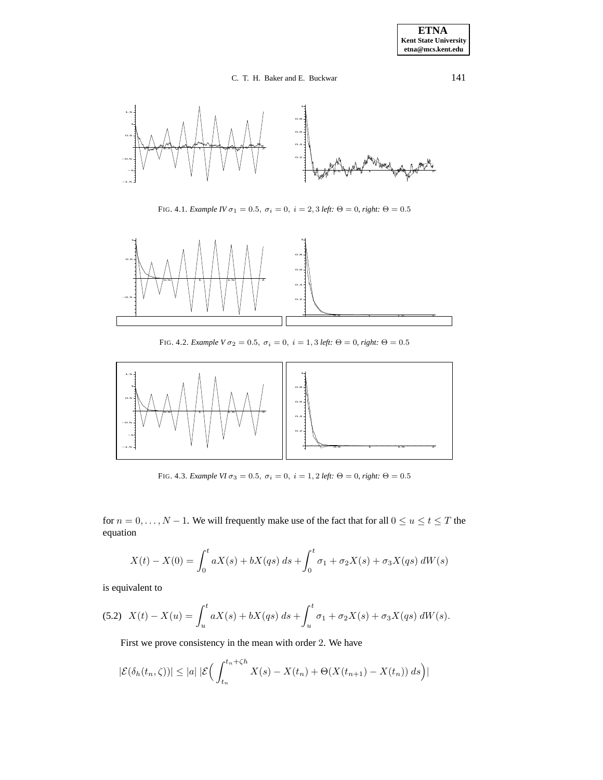

FIG. 4.1. *Example IV*  $\sigma_1 = 0.5$ ,  $\sigma_i = 0$ ,  $i = 2, 3$  *left:*  $\Theta = 0$ , *right:*  $\Theta = 0.5$ 

<span id="page-10-0"></span>

FIG. 4.2. *Example*  $V \sigma_2 = 0.5$ ,  $\sigma_i = 0$ ,  $i = 1, 3$  *left:*  $\Theta = 0$ , *right:*  $\Theta = 0.5$ 

<span id="page-10-1"></span>

<span id="page-10-2"></span>FIG. 4.3. *Example VI*  $\sigma_3 = 0.5$ ,  $\sigma_i = 0$ ,  $i = 1, 2$  *left:*  $\Theta = 0$ , *right:*  $\Theta = 0.5$ 

for  $n = 0, \ldots, N - 1$ . We will frequently make use of the fact that for all  $0 \le u \le t \le T$  the equation

$$
X(t) - X(0) = \int_0^t aX(s) + bX(qs) ds + \int_0^t \sigma_1 + \sigma_2 X(s) + \sigma_3 X(qs) dW(s)
$$

is equivalent to

<span id="page-10-3"></span>
$$
(5.2)\ \ X(t) - X(u) = \int_u^t aX(s) + bX(qs)\ ds + \int_u^t \sigma_1 + \sigma_2 X(s) + \sigma_3 X(qs)\ dW(s).
$$

First we prove consistency in the mean with order 2. We have

$$
|\mathcal{E}(\delta_h(t_n,\zeta))| \le |a| \, |\mathcal{E}\Big(\int_{t_n}^{t_n+\zeta h} X(s) - X(t_n) + \Theta(X(t_{n+1}) - X(t_n))\,ds\Big)|
$$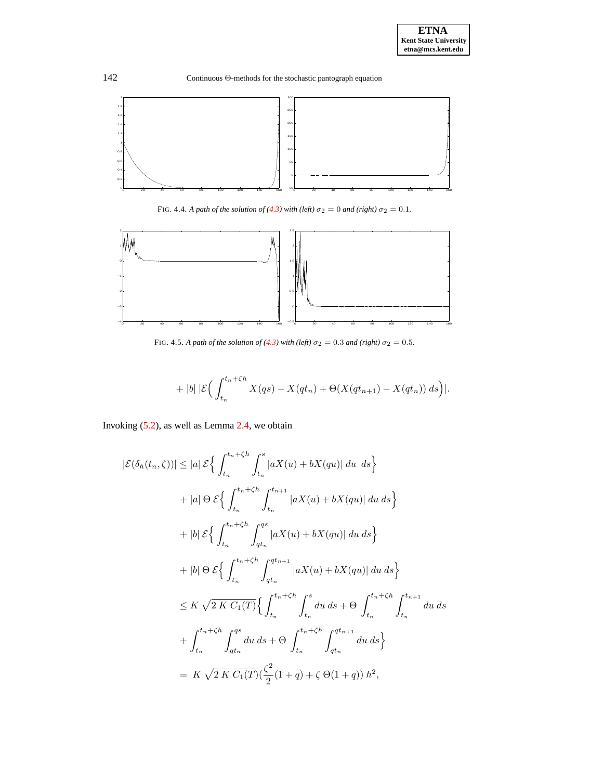

FIG. 4.4. *A path of the solution of* [\(4.3\)](#page-8-2) *with* (left)  $\sigma_2 = 0$  *and* (right)  $\sigma_2 = 0.1$ *.* 

<span id="page-11-0"></span>

<span id="page-11-1"></span>FIG. 4.5. *A path of the solution of* [\(4.3\)](#page-8-2) with (left)  $\sigma_2 = 0.3$  *and* (right)  $\sigma_2 = 0.5$ *.* 

$$
+ |b| \, |\mathcal{E}\Big(\int_{t_n}^{t_n+\zeta h} X(qs) - X(qt_n) + \Theta(X(qt_{n+1}) - X(qt_n))\,ds\Big)|.
$$

Invoking [\(5.2\)](#page-10-3), as well as Lemma [2.4,](#page-5-3) we obtain

$$
|\mathcal{E}(\delta_h(t_n, \zeta))| \le |a| \mathcal{E} \Big\{ \int_{t_n}^{t_n + \zeta h} \int_{t_n}^s |aX(u) + bX-qu)| \, du \, ds \Big\}+ |a| \Theta \mathcal{E} \Big\{ \int_{t_n}^{t_n + \zeta h} \int_{t_n}^{t_{n+1}} |aX(u) + bX-qu)| \, du \, ds \Big\}+ |b| \mathcal{E} \Big\{ \int_{t_n}^{t_n + \zeta h} \int_{qt_n}^{qs} |aX(u) + bX-qu)| \, du \, ds \Big\}+ |b| \Theta \mathcal{E} \Big\{ \int_{t_n}^{t_n + \zeta h} \int_{qt_n}^{qt_{n+1}} |aX(u) + bX-qu)| \, du \, ds \Big\}< \le K \sqrt{2 K C_1(T)} \Big\{ \int_{t_n}^{t_n + \zeta h} \int_{t_n}^s du \, ds + \Theta \int_{t_n}^{t_n + \zeta h} \int_{t_n}^{t_{n+1}} du \, ds \Big\}+ \int_{t_n}^{t_n + \zeta h} \int_{qt_n}^{qs} du \, ds + \Theta \int_{t_n}^{t_n + \zeta h} \int_{qt_n}^{qt_{n+1}} du \, ds \Big\}= K \sqrt{2 K C_1(T)} (\frac{\zeta^2}{2} (1 + q) + \zeta \Theta (1 + q)) h^2,
$$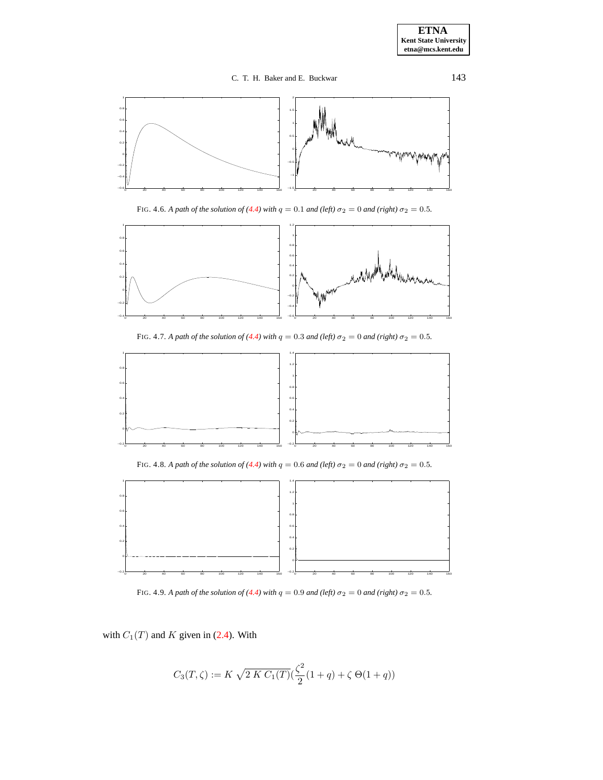

FIG. 4.6. *A path of the solution of* [\(4.4\)](#page-9-4) with  $q = 0.1$  *and* (left)  $\sigma_2 = 0$  *and* (right)  $\sigma_2 = 0.5$ *.* 

<span id="page-12-0"></span>

FIG. 4.7. A path of the solution of [\(4.4\)](#page-9-4) with  $q = 0.3$  and (left)  $\sigma_2 = 0$  and (right)  $\sigma_2 = 0.5$ .



FIG. 4.8. *A path of the solution of* [\(4.4\)](#page-9-4) *with*  $q = 0.6$  *and* (left)  $\sigma_2 = 0$  *and* (right)  $\sigma_2 = 0.5$ *.* 



FIG. 4.9. *A path of the solution of* [\(4.4\)](#page-9-4) *with*  $q = 0.9$  *and* (*left*)  $\sigma_2 = 0$  *and* (*right*)  $\sigma_2 = 0.5$ *.* 

<span id="page-12-1"></span>with  $C_1(T)$  and K given in [\(2.4\)](#page-4-2). With

$$
C_3(T,\zeta) := K \sqrt{2 \, K \, C_1(T)} \big( \frac{\zeta^2}{2} (1+q) + \zeta \, \Theta(1+q) \big)
$$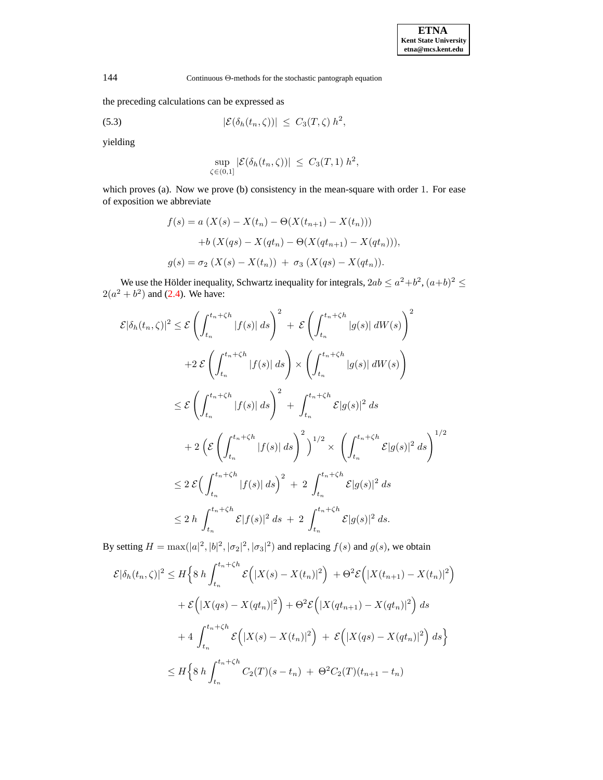the preceding calculations can be expressed as

<span id="page-13-0"></span>(5.3) 
$$
|\mathcal{E}(\delta_h(t_n,\zeta))| \leq C_3(T,\zeta) h^2,
$$

yielding

$$
\sup_{\zeta \in (0,1]} |\mathcal{E}(\delta_h(t_n,\zeta))| \leq C_3(T,1) h^2,
$$

which proves (a). Now we prove (b) consistency in the mean-square with order 1. For ease of exposition we abbreviate

$$
f(s) = a (X(s) - X(t_n) - \Theta(X(t_{n+1}) - X(t_n)))
$$
  
+ b (X(qs) - X(qt\_n) - \Theta(X(qt\_{n+1}) - X(qt\_n))),  

$$
g(s) = \sigma_2 (X(s) - X(t_n)) + \sigma_3 (X(qs) - X(qt_n)).
$$

We use the Hölder inequality, Schwartz inequality for integrals,  $2ab \le a^2+b^2$ ,  $(a+b)^2 \le a$  $2(a^2 + b^2)$  and [\(2.4\)](#page-4-2). We have:

$$
\mathcal{E}|\delta_h(t_n,\zeta)|^2 \leq \mathcal{E}\left(\int_{t_n}^{t_n+\zeta h}|f(s)|\,ds\right)^2 + \mathcal{E}\left(\int_{t_n}^{t_n+\zeta h}|g(s)|\,dW(s)\right)^2
$$
  
+2\mathcal{E}\left(\int\_{t\_n}^{t\_n+\zeta h}|f(s)|\,ds\right) \times \left(\int\_{t\_n}^{t\_n+\zeta h}|g(s)|\,dW(s)\right)  
\leq \mathcal{E}\left(\int\_{t\_n}^{t\_n+\zeta h}|f(s)|\,ds\right)^2 + \int\_{t\_n}^{t\_n+\zeta h}\mathcal{E}|g(s)|^2\,ds  
+2\left(\mathcal{E}\left(\int\_{t\_n}^{t\_n+\zeta h}|f(s)|\,ds\right)^2\right)^{1/2} \times \left(\int\_{t\_n}^{t\_n+\zeta h}\mathcal{E}|g(s)|^2\,ds\right)^{1/2}  
\leq 2\mathcal{E}\left(\int\_{t\_n}^{t\_n+\zeta h}|f(s)|\,ds\right)^2 + 2\int\_{t\_n}^{t\_n+\zeta h}\mathcal{E}|g(s)|^2\,ds  
\leq 2\,h\int\_{t\_n}^{t\_n+\zeta h}\mathcal{E}|f(s)|^2\,ds + 2\int\_{t\_n}^{t\_n+\zeta h}\mathcal{E}|g(s)|^2\,ds.

By setting  $H = \max(|a|^2, |b|^2, |\sigma_2|^2, |\sigma_3|^2)$  and replacing  $f(s)$  and  $g(s)$ , we obtain

$$
\mathcal{E}|\delta_h(t_n,\zeta)|^2 \le H\Big\{8h\int_{t_n}^{t_n+\zeta h} \mathcal{E}\Big(|X(s)-X(t_n)|^2\Big) + \Theta^2 \mathcal{E}\Big(|X(t_{n+1})-X(t_n)|^2\Big) \n+ \mathcal{E}\Big(|X(qs)-X(qt_n)|^2\Big) + \Theta^2 \mathcal{E}\Big(|X(qt_{n+1})-X(qt_n)|^2\Big) ds \n+ 4 \int_{t_n}^{t_n+\zeta h} \mathcal{E}\Big(|X(s)-X(t_n)|^2\Big) + \mathcal{E}\Big(|X(qs)-X(qt_n)|^2\Big) ds \Big\} \n\le H\Big\{8h\int_{t_n}^{t_n+\zeta h} C_2(T)(s-t_n) + \Theta^2 C_2(T)(t_{n+1}-t_n)
$$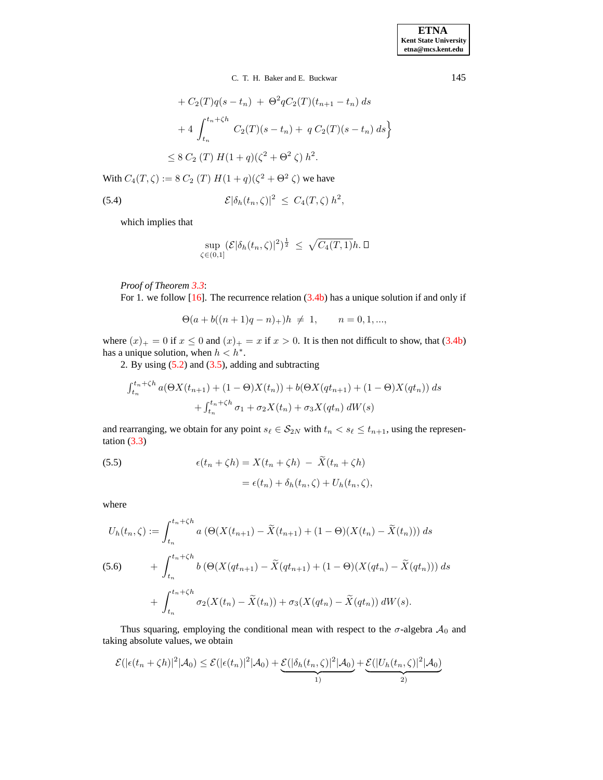+ 
$$
C_2(T)q(s - t_n)
$$
 +  $\Theta^2 q C_2(T)(t_{n+1} - t_n) ds$   
+  $4 \int_{t_n}^{t_n + \zeta h} C_2(T)(s - t_n) + q C_2(T)(s - t_n) ds$   
 $\leq 8 C_2(T) H(1 + q)(\zeta^2 + \Theta^2 \zeta) h^2.$ 

With  $C_4(T,\zeta) := 8 C_2(T) H(1+q)(\zeta^2 + \Theta^2 \zeta)$  we have

(5.4) 
$$
\mathcal{E}|\delta_h(t_n,\zeta)|^2 \leq C_4(T,\zeta) h^2,
$$

<span id="page-14-1"></span>which implies that

$$
\sup_{\zeta \in (0,1]} (\mathcal{E}|\delta_h(t_n,\zeta)|^2)^{\frac{1}{2}} \leq \sqrt{C_4(T,1)}h.\,\Box
$$

*Proof of Theorem [3.3](#page-7-0)*:

For 1. we follow  $[16]$ . The recurrence relation  $(3.4b)$  has a unique solution if and only if

$$
\Theta(a+b((n+1)q-n)_+)h \neq 1, \qquad n=0,1,...,
$$

where  $(x)_+ = 0$  if  $x \le 0$  and  $(x)_+ = x$  if  $x > 0$ . It is then not difficult to show, that [\(3.4b\)](#page-5-1) has a unique solution, when  $h < h^*$ .

2. By using  $(5.2)$  and  $(3.5)$ , adding and subtracting

$$
\int_{t_n}^{t_n+\zeta h} a(\Theta X(t_{n+1}) + (1-\Theta)X(t_n)) + b(\Theta X(qt_{n+1}) + (1-\Theta)X(qt_n)) ds + \int_{t_n}^{t_n+\zeta h} \sigma_1 + \sigma_2 X(t_n) + \sigma_3 X(qt_n) dW(s)
$$

and rearranging, we obtain for any point  $s_\ell \in S_{2N}$  with  $t_n < s_\ell \leq t_{n+1}$ , using the representation  $(3.3)$ 

(5.5) 
$$
\epsilon(t_n + \zeta h) = X(t_n + \zeta h) - \widetilde{X}(t_n + \zeta h)
$$

$$
= \epsilon(t_n) + \delta_h(t_n, \zeta) + U_h(t_n, \zeta),
$$

where

$$
U_h(t_n, \zeta) := \int_{t_n}^{t_n + \zeta h} a \left( \Theta(X(t_{n+1}) - \tilde{X}(t_{n+1}) + (1 - \Theta)(X(t_n) - \tilde{X}(t_n)) \right) ds
$$
  
(5.6) 
$$
+ \int_{t_n}^{t_n + \zeta h} b \left( \Theta(X(qt_{n+1}) - \tilde{X}(qt_{n+1}) + (1 - \Theta)(X(qt_n) - \tilde{X}(qt_n)) \right) ds
$$

$$
+ \int_{t_n}^{t_n + \zeta h} \sigma_2(X(t_n) - \tilde{X}(t_n)) + \sigma_3(X(qt_n) - \tilde{X}(qt_n)) dW(s).
$$

<span id="page-14-0"></span>Thus squaring, employing the conditional mean with respect to the  $\sigma$ -algebra  $\mathcal{A}_0$  and taking absolute values, we obtain

$$
\mathcal{E}(|\epsilon(t_n + \zeta h)|^2 |\mathcal{A}_0) \le \mathcal{E}(|\epsilon(t_n)|^2 |\mathcal{A}_0) + \underbrace{\mathcal{E}(|\delta_h(t_n, \zeta)|^2 |\mathcal{A}_0)}_{1)} + \underbrace{\mathcal{E}(|U_h(t_n, \zeta)|^2 |\mathcal{A}_0)}_{2)}
$$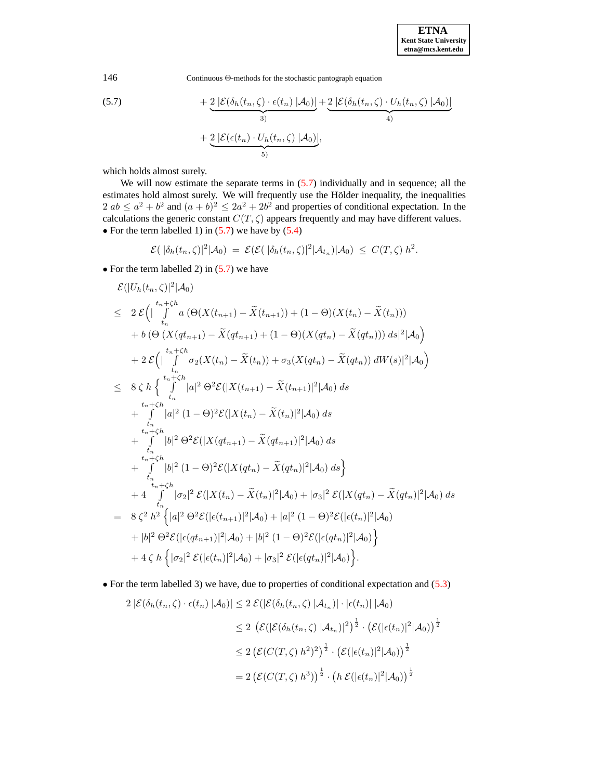146 Continuous Θ-methods for the stochastic pantograph equation

(5.7) 
$$
+ \underbrace{2 |\mathcal{E}(\delta_h(t_n,\zeta) \cdot \epsilon(t_n) | \mathcal{A}_0)}_{3)} + \underbrace{2 |\mathcal{E}(\delta_h(t_n,\zeta) \cdot U_h(t_n,\zeta) | \mathcal{A}_0)}_{4)} + \underbrace{2 |\mathcal{E}(\epsilon(t_n) \cdot U_h(t_n,\zeta) | \mathcal{A}_0)}_{5)}
$$

which holds almost surely.

We will now estimate the separate terms in  $(5.7)$  individually and in sequence; all the estimates hold almost surely. We will frequently use the Hölder inequality, the inequalities  $2 ab \le a^2 + b^2$  and  $(a + b)^2 \le 2a^2 + 2b^2$  and properties of conditional expectation. In the calculations the generic constant  $C(T, \zeta)$  appears frequently and may have different values. • For the term labelled 1) in  $(5.7)$  we have by  $(5.4)$ 

$$
\mathcal{E}(|\delta_h(t_n,\zeta)|^2|\mathcal{A}_0) = \mathcal{E}(\mathcal{E}(|\delta_h(t_n,\zeta)|^2|\mathcal{A}_{t_n})|\mathcal{A}_0) \leq C(T,\zeta) h^2.
$$

• For the term labelled 2) in  $(5.7)$  we have

$$
\mathcal{E}(|U_{h}(t_{n},\zeta)|^{2}|A_{0})
$$
\n
$$
\leq 2 \mathcal{E}\Big(\Big|\int_{t_{n}}^{t_{n}+\zeta h} a\left(\Theta(X(t_{n+1})-\tilde{X}(t_{n+1}))+(1-\Theta)(X(t_{n})-\tilde{X}(t_{n}))\right) ds|^{2}|A_{0}\Big)
$$
\n
$$
+ b\left(\Theta\left(X(qt_{n+1})-\tilde{X}(qt_{n+1})+(1-\Theta)(X(qt_{n})-\tilde{X}(qt_{n})))ds|^{2}|A_{0}\right)
$$
\n
$$
+ 2 \mathcal{E}\Big(\Big|\int_{t_{n}}^{t_{n}+\zeta h} \sigma_{2}(X(t_{n})-\tilde{X}(t_{n})) + \sigma_{3}(X(qt_{n})-\tilde{X}(qt_{n}))dW(s)|^{2}|A_{0}\Big)
$$
\n
$$
\leq 8 \zeta h \left\{\int_{t_{n}}^{t_{n}+\zeta h} |a|^{2} \Theta^{2} \mathcal{E}(|X(t_{n+1})-\tilde{X}(t_{n+1})|^{2}|A_{0}) ds + \int_{t_{n}}^{t_{n}+\zeta h} |a|^{2} (1-\Theta)^{2} \mathcal{E}(|X(t_{n})-\tilde{X}(t_{n})|^{2}|A_{0}) ds\right\}
$$
\n
$$
+ \int_{t_{n}}^{t_{n}+\zeta h} |b|^{2} \Theta^{2} \mathcal{E}(|X(qt_{n+1})-\tilde{X}(qt_{n+1})|^{2}|A_{0}) ds + \int_{t_{n}}^{t_{n}+\zeta h} |b|^{2} (1-\Theta)^{2} \mathcal{E}(|X(qt_{n})-\tilde{X}(qt_{n})|^{2}|A_{0}) ds\Big\}
$$
\n
$$
+ 4 \int_{t_{n}}^{t_{n}+\zeta h} |\sigma_{2}|^{2} \mathcal{E}(|X(t_{n})-\tilde{X}(t_{n})|^{2}|A_{0}) + |\sigma_{3}|^{2} \mathcal{E}(|X(qt_{n})-\tilde{X}(qt_{n})|^{2}|A_{0}) ds + |b|^{2} \Theta^{2} \mathcal{E}(|\epsilon(t_{n+1})|^{2}|A_{0}) + |b|^{2} (1-\Theta)^{2} \mathcal{E}(|\epsilon(t_{n})|^{2}|A_{0}) + |
$$

• For the term labelled 3) we have, due to properties of conditional expectation and [\(5.3\)](#page-13-0)

$$
2\left|\mathcal{E}(\delta_h(t_n,\zeta)\cdot\epsilon(t_n)\middle|\mathcal{A}_0\right)\right| \leq 2\mathcal{E}(|\mathcal{E}(\delta_h(t_n,\zeta)\middle|\mathcal{A}_{t_n})\big|\cdot|\epsilon(t_n)\big|\downarrow\mathcal{A}_0)
$$
  

$$
\leq 2\left(\mathcal{E}(|\mathcal{E}(\delta_h(t_n,\zeta)\middle|\mathcal{A}_{t_n})\big|^2\right)^{\frac{1}{2}}\cdot\left(\mathcal{E}(|\epsilon(t_n)|^2\middle|\mathcal{A}_0)\right)^{\frac{1}{2}}
$$
  

$$
\leq 2\left(\mathcal{E}(C(T,\zeta)\big)^2\right)^{\frac{1}{2}}\cdot\left(\mathcal{E}(|\epsilon(t_n)|^2\middle|\mathcal{A}_0)\right)^{\frac{1}{2}}
$$
  

$$
= 2\left(\mathcal{E}(C(T,\zeta)\big)^3\right)^{\frac{1}{2}}\cdot\left(h\mathcal{E}(|\epsilon(t_n)|^2\middle|\mathcal{A}_0)\right)^{\frac{1}{2}}
$$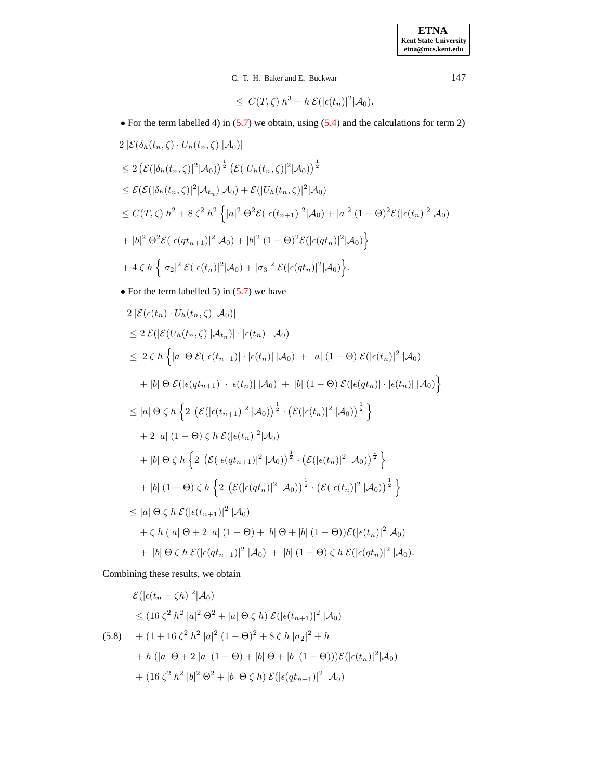## C. T. H. Baker and E. Buckwar 147

 $\leq C(T,\zeta) h^3 + h \mathcal{E}(|\epsilon(t_n)|^2 | \mathcal{A}_0).$ 

• For the term labelled 4) in [\(5.7\)](#page-14-0) we obtain, using [\(5.4\)](#page-14-1) and the calculations for term 2)

$$
2 |\mathcal{E}(\delta_h(t_n, \zeta) \cdot U_h(t_n, \zeta) | \mathcal{A}_0)|
$$
  
\n
$$
\leq 2 (\mathcal{E}(|\delta_h(t_n, \zeta)|^2 | \mathcal{A}_0))^\frac{1}{2} (\mathcal{E}(|U_h(t_n, \zeta)|^2 | \mathcal{A}_0))^\frac{1}{2}
$$
  
\n
$$
\leq \mathcal{E}(\mathcal{E}(|\delta_h(t_n, \zeta)|^2 | \mathcal{A}_{t_n}) | \mathcal{A}_0) + \mathcal{E}(|U_h(t_n, \zeta)|^2 | \mathcal{A}_0)
$$
  
\n
$$
\leq C(T, \zeta) h^2 + 8 \zeta^2 h^2 \left\{ |a|^2 \Theta^2 \mathcal{E}(|\epsilon(t_{n+1})|^2 | \mathcal{A}_0) + |a|^2 (1 - \Theta)^2 \mathcal{E}(|\epsilon(t_n)|^2 | \mathcal{A}_0) \right\}
$$
  
\n
$$
+ |b|^2 \Theta^2 \mathcal{E}(|\epsilon(qt_{n+1})|^2 | \mathcal{A}_0) + |b|^2 (1 - \Theta)^2 \mathcal{E}(|\epsilon(qt_n)|^2 | \mathcal{A}_0) \right\}
$$
  
\n
$$
+ 4 \zeta h \left\{ |\sigma_2|^2 \mathcal{E}(|\epsilon(t_n)|^2 | \mathcal{A}_0) + |\sigma_3|^2 \mathcal{E}(|\epsilon(qt_n)|^2 | \mathcal{A}_0) \right\}.
$$

• For the term labelled 5) in [\(5.7\)](#page-14-0) we have

$$
2 | \mathcal{E}(\epsilon(t_n) \cdot U_h(t_n, \zeta) | \mathcal{A}_0 ) |
$$
  
\n
$$
\leq 2 \mathcal{E}(|\mathcal{E}(U_h(t_n, \zeta) | \mathcal{A}_{t_n})| \cdot |\epsilon(t_n)| | \mathcal{A}_0 )
$$
  
\n
$$
\leq 2 \zeta h \left\{ |a| \Theta \mathcal{E}(|\epsilon(t_{n+1})| \cdot |\epsilon(t_n)| | \mathcal{A}_0) + |a| (1 - \Theta) \mathcal{E}(|\epsilon(t_n)|^2 | \mathcal{A}_0) \right\}
$$
  
\n
$$
+ |b| \Theta \mathcal{E}(|\epsilon(qt_{n+1})| \cdot |\epsilon(t_n)| | \mathcal{A}_0) + |b| (1 - \Theta) \mathcal{E}(|\epsilon(qt_n)| \cdot |\epsilon(t_n)| | \mathcal{A}_0) \right\}
$$
  
\n
$$
\leq |a| \Theta \zeta h \left\{ 2 \left( \mathcal{E}(|\epsilon(t_{n+1})|^2 | \mathcal{A}_0) \right)^{\frac{1}{2}} \cdot (\mathcal{E}(|\epsilon(t_n)|^2 | \mathcal{A}_0))^{\frac{1}{2}} \right\}
$$
  
\n
$$
+ 2 |a| (1 - \Theta) \zeta h \mathcal{E}(|\epsilon(t_n)|^2 | \mathcal{A}_0) \right\}
$$
  
\n
$$
+ |b| \Theta \zeta h \left\{ 2 \left( \mathcal{E}(|\epsilon(qt_{n+1})|^2 | \mathcal{A}_0) \right)^{\frac{1}{2}} \cdot (\mathcal{E}(|\epsilon(t_n)|^2 | \mathcal{A}_0))^{\frac{1}{2}} \right\}
$$
  
\n
$$
+ |b| (1 - \Theta) \zeta h \left\{ 2 \left( \mathcal{E}(|\epsilon(qt_n)|^2 | \mathcal{A}_0) \right)^{\frac{1}{2}} \cdot (\mathcal{E}(|\epsilon(t_n)|^2 | \mathcal{A}_0))^{\frac{1}{2}} \right\}
$$
  
\n
$$
\leq |a| \Theta \zeta h \mathcal{E}(|\epsilon(t_{n+1})|^2 | \mathcal{A}_0) \right\}
$$
  
\n
$$
+ \zeta h (|a| \Theta + 2 |a| (1 - \Theta) + |b| \Theta + |b| (1 - \Theta) ) \math
$$

Combining these results, we obtain

<span id="page-16-0"></span>
$$
\mathcal{E}(|\epsilon(t_n + \zeta h)|^2 | \mathcal{A}_0)
$$
  
\n
$$
\leq (16 \zeta^2 h^2 |a|^2 \Theta^2 + |a| \Theta \zeta h) \mathcal{E}(|\epsilon(t_{n+1})|^2 | \mathcal{A}_0)
$$
  
\n(5.8) + (1 + 16 \zeta^2 h^2 |a|^2 (1 - \Theta)^2 + 8 \zeta h |\sigma\_2|^2 + h  
\n+ h (|a| \Theta + 2 |a| (1 - \Theta) + |b| \Theta + |b| (1 - \Theta)) )\mathcal{E}(|\epsilon(t\_n)|^2 | \mathcal{A}\_0)  
\n+ (16 \zeta^2 h^2 |b|^2 \Theta^2 + |b| \Theta \zeta h) \mathcal{E}(|\epsilon(qt\_{n+1})|^2 | \mathcal{A}\_0)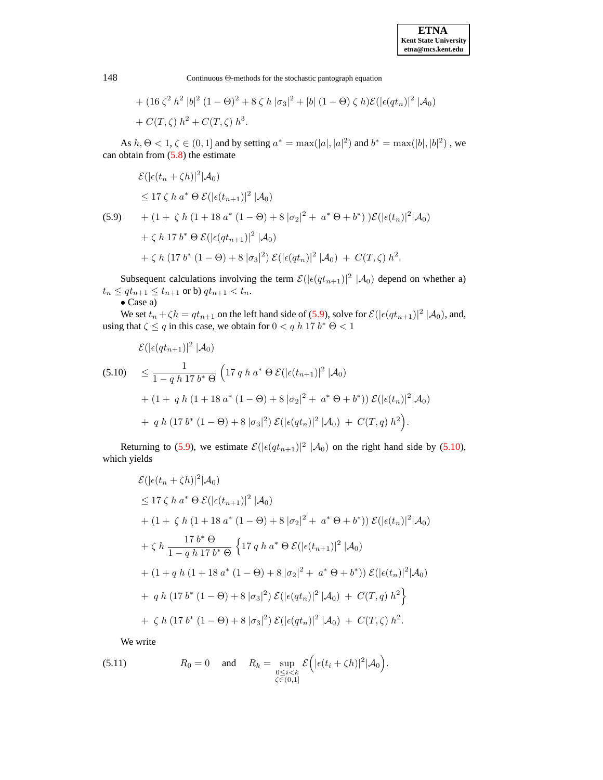+ 
$$
(16 \zeta^2 h^2 |b|^2 (1-\Theta)^2 + 8 \zeta h |\sigma_3|^2 + |b| (1-\Theta) \zeta h) \mathcal{E}(|\epsilon(q t_n)|^2 |\mathcal{A}_0)
$$
  
+  $C(T,\zeta) h^2 + C(T,\zeta) h^3$ .

As  $h, \Theta < 1, \zeta \in (0, 1]$  and by setting  $a^* = \max(|a|, |a|^2)$  and  $b^* = \max(|b|, |b|^2)$ , we can obtain from  $(5.8)$  the estimate

<span id="page-17-0"></span>
$$
\mathcal{E}(|\epsilon(t_n + \zeta h)|^2 | \mathcal{A}_0)
$$
  
\n
$$
\leq 17 \zeta h a^* \Theta \mathcal{E}(|\epsilon(t_{n+1})|^2 | \mathcal{A}_0)
$$
  
\n(5.9) + (1 + \zeta h (1 + 18 a^\* (1 - \Theta) + 8 |\sigma\_2|^2 + a^\* \Theta + b^\*) )\mathcal{E}(|\epsilon(t\_n)|^2 | \mathcal{A}\_0)  
\n+ \zeta h 17 b^\* \Theta \mathcal{E}(|\epsilon(qt\_{n+1})|^2 | \mathcal{A}\_0)  
\n+ \zeta h (17 b^\* (1 - \Theta) + 8 |\sigma\_3|^2) \mathcal{E}(|\epsilon(qt\_n)|^2 | \mathcal{A}\_0) + C(T, \zeta) h^2.

Subsequent calculations involving the term  $\mathcal{E}(|\epsilon(qt_{n+1})|^2 | \mathcal{A}_0)$  depend on whether a)  $t_n \leq qt_{n+1} \leq t_{n+1}$  or b)  $qt_{n+1} < t_n$ .

$$
\bullet
$$
 Case a)

We set  $t_n + \zeta h = q t_{n+1}$  on the left hand side of [\(5.9\)](#page-17-0), solve for  $\mathcal{E}(|\epsilon(q t_{n+1})|^2 | \mathcal{A}_0)$ , and, using that  $\zeta \le q$  in this case, we obtain for  $0 < q h$  17  $b^* \Theta < 1$ 

<span id="page-17-1"></span>
$$
\mathcal{E}(|\epsilon(qt_{n+1})|^2 | \mathcal{A}_0)
$$
\n
$$
\leq \frac{1}{1 - q h 17 b^* \Theta} \left( 17 q h a^* \Theta \mathcal{E}(|\epsilon(t_{n+1})|^2 | \mathcal{A}_0) + (1 + q h (1 + 18 a^* (1 - \Theta) + 8 |\sigma_2|^2 + a^* \Theta + b^*) \right) \mathcal{E}(|\epsilon(t_n)|^2 | \mathcal{A}_0) + q h (17 b^* (1 - \Theta) + 8 |\sigma_3|^2) \mathcal{E}(|\epsilon(qt_n)|^2 | \mathcal{A}_0) + C(T, q) h^2 \right).
$$

Returning to [\(5.9\)](#page-17-0), we estimate  $\mathcal{E}(|\epsilon(qt_{n+1})|^2 \, |A_0)$  on the right hand side by [\(5.10\)](#page-17-1), which yields

$$
\mathcal{E}(|\epsilon(t_n + \zeta h)|^2 |\mathcal{A}_0)
$$
  
\n
$$
\leq 17 \zeta h a^* \Theta \mathcal{E}(|\epsilon(t_{n+1})|^2 |\mathcal{A}_0)
$$
  
\n
$$
+ (1 + \zeta h (1 + 18 a^* (1 - \Theta) + 8 |\sigma_2|^2 + a^* \Theta + b^*)) \mathcal{E}(|\epsilon(t_n)|^2 |\mathcal{A}_0)
$$
  
\n
$$
+ \zeta h \frac{17 b^* \Theta}{1 - q h 17 b^* \Theta} \left\{ 17 q h a^* \Theta \mathcal{E}(|\epsilon(t_{n+1})|^2 |\mathcal{A}_0)
$$
  
\n
$$
+ (1 + q h (1 + 18 a^* (1 - \Theta) + 8 |\sigma_2|^2 + a^* \Theta + b^*)) \mathcal{E}(|\epsilon(t_n)|^2 |\mathcal{A}_0)
$$
  
\n
$$
+ q h (17 b^* (1 - \Theta) + 8 |\sigma_3|^2) \mathcal{E}(|\epsilon(q t_n)|^2 |\mathcal{A}_0) + C(T, q) h^2 \right\}
$$
  
\n
$$
+ \zeta h (17 b^* (1 - \Theta) + 8 |\sigma_3|^2) \mathcal{E}(|\epsilon(q t_n)|^2 |\mathcal{A}_0) + C(T, \zeta) h^2.
$$

We write

<span id="page-17-2"></span>(5.11) 
$$
R_0 = 0 \quad \text{and} \quad R_k = \sup_{\substack{0 \le i < k \\ \zeta \in (0,1]}} \mathcal{E}\Big(|\epsilon(t_i + \zeta h)|^2 |\mathcal{A}_0\Big).
$$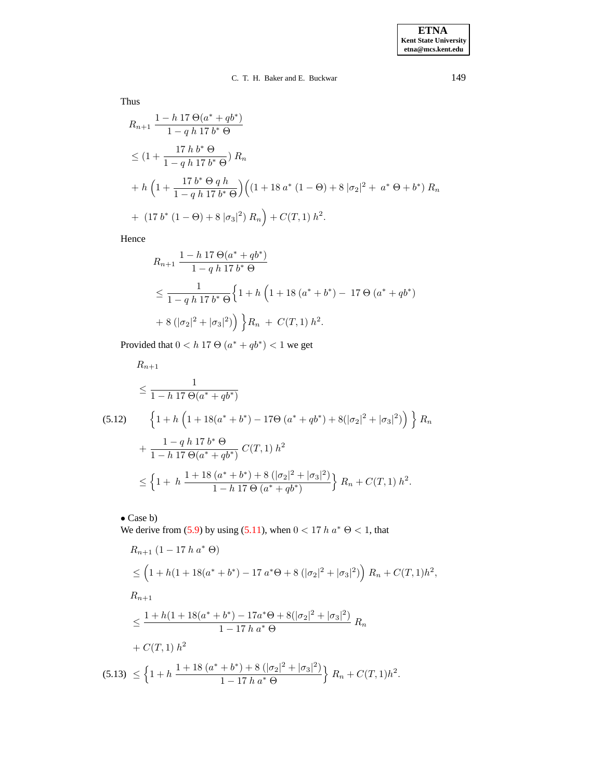# C. T. H. Baker and E. Buckwar 149

Thus

$$
R_{n+1} \frac{1 - h \, 17 \, \Theta(a^* + qb^*)}{1 - q \, h \, 17 \, b^* \, \Theta}
$$
  
\n
$$
\leq \left(1 + \frac{17 \, h \, b^* \, \Theta}{1 - q \, h \, 17 \, b^* \, \Theta}\right) R_n
$$
  
\n
$$
+ h \left(1 + \frac{17 \, b^* \, \Theta \, q \, h}{1 - q \, h \, 17 \, b^* \, \Theta}\right) \left((1 + 18 \, a^* \, (1 - \Theta) + 8 \, |\sigma_2|^2 + a^* \, \Theta + b^*) \, R_n
$$
  
\n
$$
+ (17 \, b^* \, (1 - \Theta) + 8 \, |\sigma_3|^2) \, R_n\right) + C(T, 1) \, h^2.
$$

Hence

$$
R_{n+1} \frac{1 - h \, 17 \, \Theta(a^* + qb^*)}{1 - q \, h \, 17 \, b^* \, \Theta}
$$
  
\$\leq \frac{1}{1 - q \, h \, 17 \, b^\* \, \Theta} \left\{ 1 + h \left( 1 + 18 \, (a^\* + b^\*) - 17 \, \Theta \left( a^\* + qb^\* \right) \right) \right\} R\_n + C(T, 1) \, h^2\$.

Provided that  $0 < h$  17  $\Theta(a^* + qb^*) < 1$  we get

<span id="page-18-0"></span>
$$
R_{n+1}
$$
\n
$$
\leq \frac{1}{1 - h \ 17 \ \Theta(a^* + qb^*)}
$$
\n
$$
(5.12) \qquad \left\{ 1 + h \left( 1 + 18(a^* + b^*) - 17\Theta(a^* + qb^*) + 8(|\sigma_2|^2 + |\sigma_3|^2) \right) \right\} R_n
$$
\n
$$
+ \frac{1 - q h \ 17 b^* \ \Theta}{1 - h \ 17 \ \Theta(a^* + qb^*)} C(T, 1) \ h^2
$$
\n
$$
\leq \left\{ 1 + h \ \frac{1 + 18(a^* + b^*) + 8\left( |\sigma_2|^2 + |\sigma_3|^2 \right)}{1 - h \ 17 \ \Theta(a^* + qb^*)} \right\} R_n + C(T, 1) \ h^2.
$$

• Case b)

We derive from [\(5.9\)](#page-17-0) by using [\(5.11\)](#page-17-2), when  $0 < 17 h a^* \Theta < 1$ , that

<span id="page-18-1"></span>
$$
R_{n+1} (1 - 17 h a^* \Theta)
$$
  
\n
$$
\leq \left(1 + h(1 + 18(a^* + b^*) - 17 a^* \Theta + 8(|\sigma_2|^2 + |\sigma_3|^2)\right) R_n + C(T, 1)h^2,
$$
  
\n
$$
R_{n+1}
$$
  
\n
$$
\leq \frac{1 + h(1 + 18(a^* + b^*) - 17a^* \Theta + 8(|\sigma_2|^2 + |\sigma_3|^2))}{1 - 17 h a^* \Theta} R_n
$$
  
\n
$$
+ C(T, 1) h^2
$$
  
\n(5.13) 
$$
\leq \left\{1 + h \frac{1 + 18(a^* + b^*) + 8(|\sigma_2|^2 + |\sigma_3|^2)}{1 - 17 h a^* \Theta}\right\} R_n + C(T, 1)h^2.
$$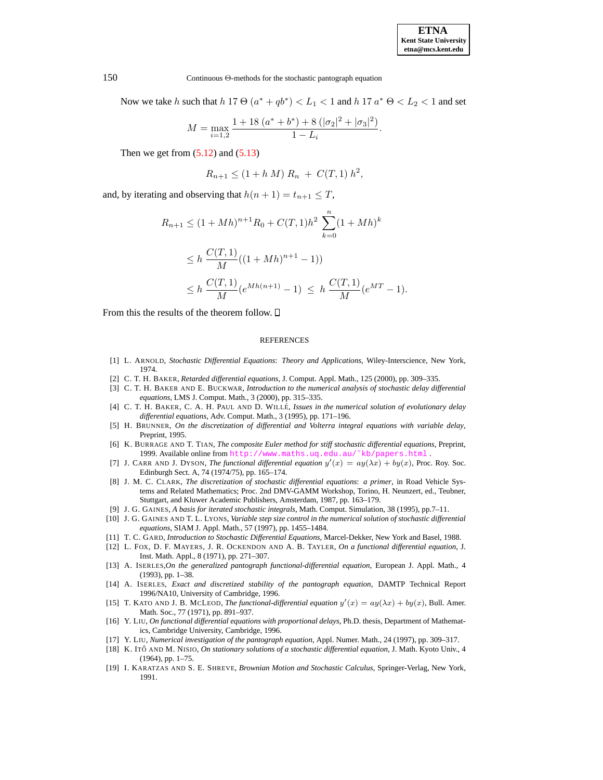.

150 Continuous Θ-methods for the stochastic pantograph equation

Now we take h such that  $h$  17  $\Theta$   $(a^* + qb^*) < L_1 < 1$  and  $h$  17  $a^*$   $\Theta < L_2 < 1$  and set

$$
M = \max_{i=1,2} \frac{1 + 18 (a^* + b^*) + 8 (|\sigma_2|^2 + |\sigma_3|^2)}{1 - L_i}
$$

Then we get from  $(5.12)$  and  $(5.13)$ 

$$
R_{n+1} \le (1 + h M) R_n + C(T, 1) h^2,
$$

and, by iterating and observing that  $h(n + 1) = t_{n+1} \leq T$ ,

$$
R_{n+1} \le (1 + Mh)^{n+1} R_0 + C(T, 1)h^2 \sum_{k=0}^{n} (1 + Mh)^k
$$
  
\n
$$
\le h \frac{C(T, 1)}{M} ((1 + Mh)^{n+1} - 1))
$$
  
\n
$$
\le h \frac{C(T, 1)}{M} (e^{Mh(n+1)} - 1) \le h \frac{C(T, 1)}{M} (e^{MT} - 1).
$$

From this the results of the theorem follow.  $\square$ 

#### **REFERENCES**

- <span id="page-19-10"></span><span id="page-19-7"></span>[1] L. ARNOLD, *Stochastic Differential Equations*: *Theory and Applications*, Wiley-Interscience, New York, 1974.
- [2] C. T. H. BAKER, *Retarded differential equations*, J. Comput. Appl. Math., 125 (2000), pp. 309–335.
- <span id="page-19-14"></span>[3] C. T. H. BAKER AND E. BUCKWAR, *Introduction to the numerical analysis of stochastic delay differential equations*, LMS J. Comput. Math., 3 (2000), pp. 315–335.
- <span id="page-19-11"></span><span id="page-19-4"></span>[4] C. T. H. BAKER, C. A. H. PAUL AND D. WILLE´, *Issues in the numerical solution of evolutionary delay differential equations*, Adv. Comput. Math., 3 (1995), pp. 171–196.
- [5] H. BRUNNER, *On the discretization of differential and Volterra integral equations with variable delay*, Preprint, 1995.
- <span id="page-19-13"></span>[6] K. BURRAGE AND T. TIAN, *The composite Euler method for stiff stochastic differential equations*, Preprint, 1999. Available online from http://www.maths.uq.edu.au/~kb/papers.html
- <span id="page-19-2"></span>[7] J. CARR AND J. DYSON, *The functional differential equation*  $y'(x) = ay(\lambda x) + by(x)$ , Proc. Roy. Soc. Edinburgh Sect. A, 74 (1974/75), pp. 165–174.
- <span id="page-19-12"></span>[8] J. M. C. CLARK, *The discretization of stochastic differential equations*: *a primer*, in Road Vehicle Systems and Related Mathematics; Proc. 2nd DMV-GAMM Workshop, Torino, H. Neunzert, ed., Teubner, Stuttgart, and Kluwer Academic Publishers, Amsterdam, 1987, pp. 163–179.
- [9] J. G. GAINES, *A basis for iterated stochastic integrals*, Math. Comput. Simulation, 38 (1995), pp.7–11.
- <span id="page-19-15"></span>[10] J. G. GAINES AND T. L. LYONS, *Variable step size control in the numerical solution of stochastic differential equations*, SIAM J. Appl. Math., 57 (1997), pp. 1455–1484.
- <span id="page-19-1"></span>[11] T. C. GARD, *Introduction to Stochastic Differential Equations*, Marcel-Dekker, New York and Basel, 1988.
- [12] L. FOX, D. F. MAYERS, J. R. OCKENDON AND A. B. TAYLER, *On a functional differential equation*, J. Inst. Math. Appl., 8 (1971), pp. 271–307.
- [13] A. ISERLES,*On the generalized pantograph functional-differential equation*, European J. Appl. Math., 4 (1993), pp. 1–38.
- <span id="page-19-5"></span><span id="page-19-3"></span>[14] A. ISERLES, *Exact and discretized stability of the pantograph equation*, DAMTP Technical Report 1996/NA10, University of Cambridge, 1996.
- [15] T. KATO AND J. B. MCLEOD, *The functional-differential equation*  $y'(x) = ay(\lambda x) + by(x)$ , Bull. Amer. Math. Soc., 77 (1971), pp. 891–937.
- <span id="page-19-6"></span>[16] Y. LIU, *On functional differential equations with proportional delays*, Ph.D. thesis, Department of Mathematics, Cambridge University, Cambridge, 1996.
- <span id="page-19-9"></span><span id="page-19-0"></span>[17] Y. LIU, *Numerical investigation of the pantograph equation*, Appl. Numer. Math., 24 (1997), pp. 309–317.
- [18] K. ITOˆ AND M. NISIO, *On stationary solutions of a stochastic differential equation*, J. Math. Kyoto Univ., 4  $(1964)$ , pp.  $1-75$ .
- <span id="page-19-8"></span>[19] I. KARATZAS AND S. E. SHREVE, *Brownian Motion and Stochastic Calculus*, Springer-Verlag, New York, 1991.